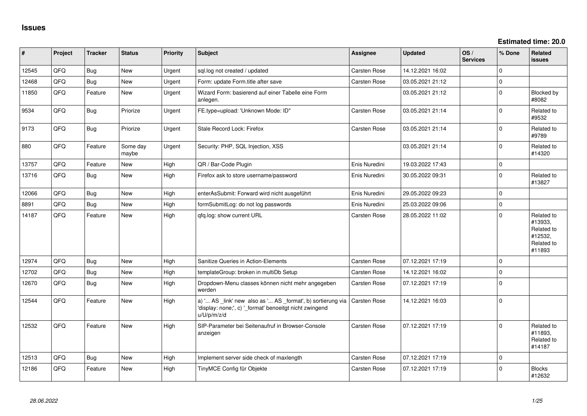**Estimated time: 20.0**

| #     | Project | <b>Tracker</b> | <b>Status</b>     | <b>Priority</b> | <b>Subject</b>                                                                                                                        | Assignee            | <b>Updated</b>   | OS/<br><b>Services</b> | % Done      | Related<br><b>issues</b>                                               |
|-------|---------|----------------|-------------------|-----------------|---------------------------------------------------------------------------------------------------------------------------------------|---------------------|------------------|------------------------|-------------|------------------------------------------------------------------------|
| 12545 | QFQ     | <b>Bug</b>     | <b>New</b>        | Urgent          | sql.log not created / updated                                                                                                         | Carsten Rose        | 14.12.2021 16:02 |                        | $\mathbf 0$ |                                                                        |
| 12468 | QFQ     | <b>Bug</b>     | <b>New</b>        | Urgent          | Form: update Form.title after save                                                                                                    | Carsten Rose        | 03.05.2021 21:12 |                        | $\mathbf 0$ |                                                                        |
| 11850 | QFQ     | Feature        | New               | Urgent          | Wizard Form: basierend auf einer Tabelle eine Form<br>anlegen.                                                                        |                     | 03.05.2021 21:12 |                        | $\mathbf 0$ | Blocked by<br>#8082                                                    |
| 9534  | QFQ     | <b>Bug</b>     | Priorize          | Urgent          | FE.type=upload: 'Unknown Mode: ID"                                                                                                    | Carsten Rose        | 03.05.2021 21:14 |                        | 0           | Related to<br>#9532                                                    |
| 9173  | QFQ     | <b>Bug</b>     | Priorize          | Urgent          | Stale Record Lock: Firefox                                                                                                            | Carsten Rose        | 03.05.2021 21:14 |                        | $\mathbf 0$ | Related to<br>#9789                                                    |
| 880   | QFQ     | Feature        | Some day<br>maybe | Urgent          | Security: PHP, SQL Injection, XSS                                                                                                     |                     | 03.05.2021 21:14 |                        | $\mathbf 0$ | Related to<br>#14320                                                   |
| 13757 | QFQ     | Feature        | <b>New</b>        | High            | QR / Bar-Code Plugin                                                                                                                  | Enis Nuredini       | 19.03.2022 17:43 |                        | $\mathbf 0$ |                                                                        |
| 13716 | QFQ     | Bug            | New               | High            | Firefox ask to store username/password                                                                                                | Enis Nuredini       | 30.05.2022 09:31 |                        | $\mathbf 0$ | Related to<br>#13827                                                   |
| 12066 | QFQ     | <b>Bug</b>     | <b>New</b>        | High            | enterAsSubmit: Forward wird nicht ausgeführt                                                                                          | Enis Nuredini       | 29.05.2022 09:23 |                        | $\mathbf 0$ |                                                                        |
| 8891  | QFQ     | <b>Bug</b>     | <b>New</b>        | High            | formSubmitLog: do not log passwords                                                                                                   | Enis Nuredini       | 25.03.2022 09:06 |                        | $\mathbf 0$ |                                                                        |
| 14187 | QFQ     | Feature        | New               | High            | qfq.log: show current URL                                                                                                             | Carsten Rose        | 28.05.2022 11:02 |                        | $\mathbf 0$ | Related to<br>#13933,<br>Related to<br>#12532,<br>Related to<br>#11893 |
| 12974 | QFQ     | <b>Bug</b>     | <b>New</b>        | High            | Sanitize Queries in Action-Elements                                                                                                   | <b>Carsten Rose</b> | 07.12.2021 17:19 |                        | $\mathbf 0$ |                                                                        |
| 12702 | QFQ     | <b>Bug</b>     | New               | High            | templateGroup: broken in multiDb Setup                                                                                                | Carsten Rose        | 14.12.2021 16:02 |                        | $\Omega$    |                                                                        |
| 12670 | QFQ     | <b>Bug</b>     | New               | High            | Dropdown-Menu classes können nicht mehr angegeben<br>werden                                                                           | Carsten Rose        | 07.12.2021 17:19 |                        | $\mathbf 0$ |                                                                        |
| 12544 | QFQ     | Feature        | New               | High            | a) ' AS _link' new also as ' AS _format', b) sortierung via<br>'display: none;', c) '_format' benoeitgt nicht zwingend<br>u/U/p/m/z/d | <b>Carsten Rose</b> | 14.12.2021 16:03 |                        | $\mathbf 0$ |                                                                        |
| 12532 | QFQ     | Feature        | <b>New</b>        | High            | SIP-Parameter bei Seitenaufruf in Browser-Console<br>anzeigen                                                                         | Carsten Rose        | 07.12.2021 17:19 |                        | $\Omega$    | Related to<br>#11893,<br>Related to<br>#14187                          |
| 12513 | QFQ     | Bug            | New               | High            | Implement server side check of maxlength                                                                                              | <b>Carsten Rose</b> | 07.12.2021 17:19 |                        | $\mathbf 0$ |                                                                        |
| 12186 | QFQ     | Feature        | New               | High            | TinyMCE Config für Objekte                                                                                                            | Carsten Rose        | 07.12.2021 17:19 |                        | $\Omega$    | <b>Blocks</b><br>#12632                                                |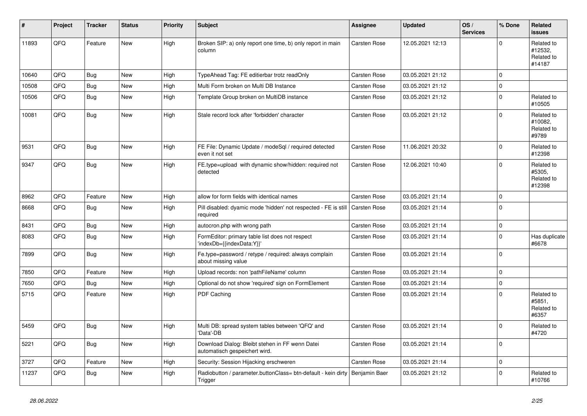| #     | Project | <b>Tracker</b> | <b>Status</b> | <b>Priority</b> | <b>Subject</b>                                                                             | <b>Assignee</b>     | <b>Updated</b>   | OS/<br><b>Services</b> | % Done              | Related<br><b>issues</b>                      |
|-------|---------|----------------|---------------|-----------------|--------------------------------------------------------------------------------------------|---------------------|------------------|------------------------|---------------------|-----------------------------------------------|
| 11893 | QFQ     | Feature        | New           | High            | Broken SIP: a) only report one time, b) only report in main<br>column                      | <b>Carsten Rose</b> | 12.05.2021 12:13 |                        | $\Omega$            | Related to<br>#12532,<br>Related to<br>#14187 |
| 10640 | QFQ     | Bug            | <b>New</b>    | High            | TypeAhead Tag: FE editierbar trotz readOnly                                                | <b>Carsten Rose</b> | 03.05.2021 21:12 |                        | $\mathbf 0$         |                                               |
| 10508 | QFQ     | <b>Bug</b>     | New           | High            | Multi Form broken on Multi DB Instance                                                     | Carsten Rose        | 03.05.2021 21:12 |                        | 0                   |                                               |
| 10506 | QFQ     | Bug            | <b>New</b>    | High            | Template Group broken on MultiDB instance                                                  | Carsten Rose        | 03.05.2021 21:12 |                        | $\mathbf 0$         | Related to<br>#10505                          |
| 10081 | QFQ     | Bug            | New           | High            | Stale record lock after 'forbidden' character                                              | <b>Carsten Rose</b> | 03.05.2021 21:12 |                        | $\Omega$            | Related to<br>#10082,<br>Related to<br>#9789  |
| 9531  | QFQ     | Bug            | New           | High            | FE File: Dynamic Update / modeSql / required detected<br>even it not set                   | Carsten Rose        | 11.06.2021 20:32 |                        | $\mathbf 0$         | Related to<br>#12398                          |
| 9347  | QFQ     | Bug            | New           | High            | FE.type=upload with dynamic show/hidden: required not<br>detected                          | Carsten Rose        | 12.06.2021 10:40 |                        | $\Omega$            | Related to<br>#5305,<br>Related to<br>#12398  |
| 8962  | QFQ     | Feature        | New           | High            | allow for form fields with identical names                                                 | Carsten Rose        | 03.05.2021 21:14 |                        | 0                   |                                               |
| 8668  | QFQ     | <b>Bug</b>     | New           | High            | Pill disabled: dyamic mode 'hidden' not respected - FE is still   Carsten Rose<br>required |                     | 03.05.2021 21:14 |                        | $\mathbf 0$         |                                               |
| 8431  | QFQ     | Bug            | New           | High            | autocron.php with wrong path                                                               | <b>Carsten Rose</b> | 03.05.2021 21:14 |                        | 0                   |                                               |
| 8083  | QFQ     | Bug            | New           | High            | FormEditor: primary table list does not respect<br>'indexDb={{indexData:Y}}'               | <b>Carsten Rose</b> | 03.05.2021 21:14 |                        | $\Omega$            | Has duplicate<br>#6678                        |
| 7899  | QFQ     | Bug            | New           | High            | Fe.type=password / retype / required: always complain<br>about missing value               | Carsten Rose        | 03.05.2021 21:14 |                        | $\Omega$            |                                               |
| 7850  | QFQ     | Feature        | New           | High            | Upload records: non 'pathFileName' column                                                  | Carsten Rose        | 03.05.2021 21:14 |                        | 0                   |                                               |
| 7650  | QFQ     | <b>Bug</b>     | New           | High            | Optional do not show 'required' sign on FormElement                                        | <b>Carsten Rose</b> | 03.05.2021 21:14 |                        | 0                   |                                               |
| 5715  | QFQ     | Feature        | New           | High            | PDF Caching                                                                                | <b>Carsten Rose</b> | 03.05.2021 21:14 |                        | $\Omega$            | Related to<br>#5851.<br>Related to<br>#6357   |
| 5459  | QFQ     | Bug            | New           | High            | Multi DB: spread system tables between 'QFQ' and<br>'Data'-DB                              | <b>Carsten Rose</b> | 03.05.2021 21:14 |                        | $\Omega$            | Related to<br>#4720                           |
| 5221  | QFQ     | <b>Bug</b>     | New           | High            | Download Dialog: Bleibt stehen in FF wenn Datei<br>automatisch gespeichert wird.           | Carsten Rose        | 03.05.2021 21:14 |                        | $\mathbf 0$         |                                               |
| 3727  | QFQ     | Feature        | New           | High            | Security: Session Hijacking erschweren                                                     | Carsten Rose        | 03.05.2021 21:14 |                        | $\mathsf{O}\xspace$ |                                               |
| 11237 | QFQ     | <b>Bug</b>     | New           | High            | Radiobutton / parameter.buttonClass= btn-default - kein dirty   Benjamin Baer<br>Trigger   |                     | 03.05.2021 21:12 |                        | 0                   | Related to<br>#10766                          |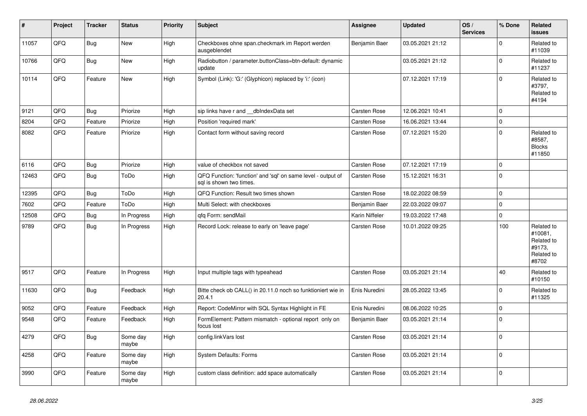| $\vert$ # | Project | <b>Tracker</b> | <b>Status</b>     | <b>Priority</b> | <b>Subject</b>                                                                          | <b>Assignee</b>     | <b>Updated</b>   | OS/<br><b>Services</b> | % Done   | Related<br><b>issues</b>                                             |
|-----------|---------|----------------|-------------------|-----------------|-----------------------------------------------------------------------------------------|---------------------|------------------|------------------------|----------|----------------------------------------------------------------------|
| 11057     | QFQ     | <b>Bug</b>     | New               | High            | Checkboxes ohne span.checkmark im Report werden<br>ausgeblendet                         | Benjamin Baer       | 03.05.2021 21:12 |                        | 0        | Related to<br>#11039                                                 |
| 10766     | QFQ     | Bug            | <b>New</b>        | High            | Radiobutton / parameter.buttonClass=btn-default: dynamic<br>update                      |                     | 03.05.2021 21:12 |                        | 0        | Related to<br>#11237                                                 |
| 10114     | QFQ     | Feature        | New               | High            | Symbol (Link): 'G:' (Glyphicon) replaced by 'i:' (icon)                                 |                     | 07.12.2021 17:19 |                        | 0        | Related to<br>#3797,<br>Related to<br>#4194                          |
| 9121      | QFQ     | <b>Bug</b>     | Priorize          | High            | sip links have r and dblndexData set                                                    | Carsten Rose        | 12.06.2021 10:41 |                        | 0        |                                                                      |
| 8204      | QFQ     | Feature        | Priorize          | High            | Position 'required mark'                                                                | Carsten Rose        | 16.06.2021 13:44 |                        | 0        |                                                                      |
| 8082      | QFQ     | Feature        | Priorize          | High            | Contact form without saving record                                                      | Carsten Rose        | 07.12.2021 15:20 |                        | $\Omega$ | Related to<br>#8587,<br><b>Blocks</b><br>#11850                      |
| 6116      | QFQ     | <b>Bug</b>     | Priorize          | High            | value of checkbox not saved                                                             | <b>Carsten Rose</b> | 07.12.2021 17:19 |                        | 0        |                                                                      |
| 12463     | QFQ     | <b>Bug</b>     | ToDo              | High            | QFQ Function: 'function' and 'sql' on same level - output of<br>sal is shown two times. | Carsten Rose        | 15.12.2021 16:31 |                        | 0        |                                                                      |
| 12395     | QFQ     | <b>Bug</b>     | ToDo              | High            | QFQ Function: Result two times shown                                                    | <b>Carsten Rose</b> | 18.02.2022 08:59 |                        | 0        |                                                                      |
| 7602      | QFQ     | Feature        | ToDo              | High            | Multi Select: with checkboxes                                                           | Benjamin Baer       | 22.03.2022 09:07 |                        | 0        |                                                                      |
| 12508     | QFQ     | <b>Bug</b>     | In Progress       | High            | qfq Form: sendMail                                                                      | Karin Niffeler      | 19.03.2022 17:48 |                        | 0        |                                                                      |
| 9789      | QFQ     | Bug            | In Progress       | High            | Record Lock: release to early on 'leave page'                                           | Carsten Rose        | 10.01.2022 09:25 |                        | 100      | Related to<br>#10081,<br>Related to<br>#9173,<br>Related to<br>#8702 |
| 9517      | QFQ     | Feature        | In Progress       | High            | Input multiple tags with typeahead                                                      | Carsten Rose        | 03.05.2021 21:14 |                        | 40       | Related to<br>#10150                                                 |
| 11630     | QFQ     | <b>Bug</b>     | Feedback          | High            | Bitte check ob CALL() in 20.11.0 noch so funktioniert wie in<br>20.4.1                  | Enis Nuredini       | 28.05.2022 13:45 |                        | 0        | Related to<br>#11325                                                 |
| 9052      | QFQ     | Feature        | Feedback          | High            | Report: CodeMirror with SQL Syntax Highlight in FE                                      | Enis Nuredini       | 08.06.2022 10:25 |                        | $\Omega$ |                                                                      |
| 9548      | QFQ     | Feature        | Feedback          | High            | FormElement: Pattern mismatch - optional report only on<br>focus lost                   | Benjamin Baer       | 03.05.2021 21:14 |                        | 0        |                                                                      |
| 4279      | QFQ     | Bug            | Some day<br>maybe | High            | config.linkVars lost                                                                    | Carsten Rose        | 03.05.2021 21:14 |                        | 0        |                                                                      |
| 4258      | QFQ     | Feature        | Some day<br>maybe | High            | <b>System Defaults: Forms</b>                                                           | Carsten Rose        | 03.05.2021 21:14 |                        | $\Omega$ |                                                                      |
| 3990      | QFQ     | Feature        | Some day<br>maybe | High            | custom class definition: add space automatically                                        | Carsten Rose        | 03.05.2021 21:14 |                        | $\Omega$ |                                                                      |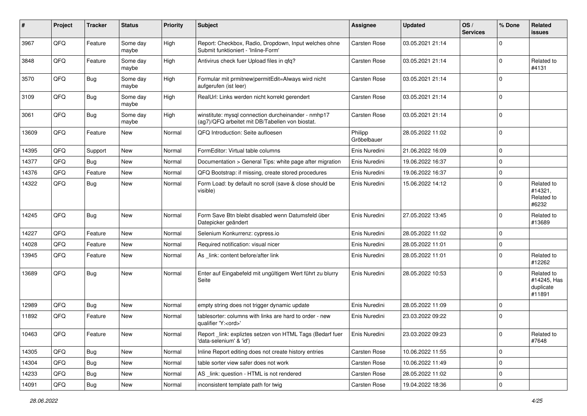| #     | Project | <b>Tracker</b> | <b>Status</b>     | <b>Priority</b> | <b>Subject</b>                                                                                         | <b>Assignee</b>        | <b>Updated</b>   | OS/<br><b>Services</b> | % Done      | Related<br><b>issues</b>                         |
|-------|---------|----------------|-------------------|-----------------|--------------------------------------------------------------------------------------------------------|------------------------|------------------|------------------------|-------------|--------------------------------------------------|
| 3967  | QFQ     | Feature        | Some day<br>maybe | High            | Report: Checkbox, Radio, Dropdown, Input welches ohne<br>Submit funktioniert - 'Inline-Form'           | Carsten Rose           | 03.05.2021 21:14 |                        | $\mathbf 0$ |                                                  |
| 3848  | QFQ     | Feature        | Some day<br>maybe | High            | Antivirus check fuer Upload files in qfq?                                                              | Carsten Rose           | 03.05.2021 21:14 |                        | $\mathbf 0$ | Related to<br>#4131                              |
| 3570  | QFQ     | <b>Bug</b>     | Some day<br>maybe | High            | Formular mit prmitnew permitEdit=Always wird nicht<br>aufgerufen (ist leer)                            | Carsten Rose           | 03.05.2021 21:14 |                        | $\mathbf 0$ |                                                  |
| 3109  | QFQ     | <b>Bug</b>     | Some day<br>maybe | High            | RealUrl: Links werden nicht korrekt gerendert                                                          | Carsten Rose           | 03.05.2021 21:14 |                        | $\mathbf 0$ |                                                  |
| 3061  | QFQ     | <b>Bug</b>     | Some day<br>maybe | High            | winstitute: mysql connection durcheinander - nmhp17<br>(ag7)/QFQ arbeitet mit DB/Tabellen von biostat. | Carsten Rose           | 03.05.2021 21:14 |                        | $\mathbf 0$ |                                                  |
| 13609 | QFQ     | Feature        | New               | Normal          | QFQ Introduction: Seite aufloesen                                                                      | Philipp<br>Gröbelbauer | 28.05.2022 11:02 |                        | $\mathbf 0$ |                                                  |
| 14395 | QFQ     | Support        | New               | Normal          | FormEditor: Virtual table columns                                                                      | Enis Nuredini          | 21.06.2022 16:09 |                        | $\mathbf 0$ |                                                  |
| 14377 | QFQ     | <b>Bug</b>     | New               | Normal          | Documentation > General Tips: white page after migration                                               | Enis Nuredini          | 19.06.2022 16:37 |                        | $\mathbf 0$ |                                                  |
| 14376 | QFQ     | Feature        | New               | Normal          | QFQ Bootstrap: if missing, create stored procedures                                                    | Enis Nuredini          | 19.06.2022 16:37 |                        | $\mathbf 0$ |                                                  |
| 14322 | QFQ     | <b>Bug</b>     | New               | Normal          | Form Load: by default no scroll (save & close should be<br>visible)                                    | Enis Nuredini          | 15.06.2022 14:12 |                        | $\mathbf 0$ | Related to<br>#14321,<br>Related to<br>#6232     |
| 14245 | QFQ     | <b>Bug</b>     | <b>New</b>        | Normal          | Form Save Btn bleibt disabled wenn Datumsfeld über<br>Datepicker geändert                              | Enis Nuredini          | 27.05.2022 13:45 |                        | $\mathbf 0$ | Related to<br>#13689                             |
| 14227 | QFQ     | Feature        | <b>New</b>        | Normal          | Selenium Konkurrenz: cypress.io                                                                        | Enis Nuredini          | 28.05.2022 11:02 |                        | $\mathbf 0$ |                                                  |
| 14028 | QFQ     | Feature        | <b>New</b>        | Normal          | Required notification: visual nicer                                                                    | Enis Nuredini          | 28.05.2022 11:01 |                        | $\mathbf 0$ |                                                  |
| 13945 | QFQ     | Feature        | New               | Normal          | As _link: content before/after link                                                                    | Enis Nuredini          | 28.05.2022 11:01 |                        | $\mathbf 0$ | Related to<br>#12262                             |
| 13689 | QFQ     | Bug            | <b>New</b>        | Normal          | Enter auf Eingabefeld mit ungültigem Wert führt zu blurry<br>Seite                                     | Enis Nuredini          | 28.05.2022 10:53 |                        | $\Omega$    | Related to<br>#14245, Has<br>duplicate<br>#11891 |
| 12989 | QFQ     | Bug            | New               | Normal          | empty string does not trigger dynamic update                                                           | Enis Nuredini          | 28.05.2022 11:09 |                        | $\mathbf 0$ |                                                  |
| 11892 | QFQ     | Feature        | New               | Normal          | tablesorter: columns with links are hard to order - new<br>qualifier 'Y: <ord>'</ord>                  | Enis Nuredini          | 23.03.2022 09:22 |                        | $\mathbf 0$ |                                                  |
| 10463 | QFQ     | Feature        | New               | Normal          | Report_link: expliztes setzen von HTML Tags (Bedarf fuer<br>'data-selenium' & 'id')                    | Enis Nuredini          | 23.03.2022 09:23 |                        | 0           | Related to<br>#7648                              |
| 14305 | QFQ     | Bug            | New               | Normal          | Inline Report editing does not create history entries                                                  | Carsten Rose           | 10.06.2022 11:55 |                        | $\mathbf 0$ |                                                  |
| 14304 | QFQ     | <b>Bug</b>     | New               | Normal          | table sorter view safer does not work                                                                  | Carsten Rose           | 10.06.2022 11:49 |                        | $\mathbf 0$ |                                                  |
| 14233 | QFQ     | <b>Bug</b>     | New               | Normal          | AS _link: question - HTML is not rendered                                                              | Carsten Rose           | 28.05.2022 11:02 |                        | 0           |                                                  |
| 14091 | QFQ     | Bug            | New               | Normal          | inconsistent template path for twig                                                                    | Carsten Rose           | 19.04.2022 18:36 |                        | $\pmb{0}$   |                                                  |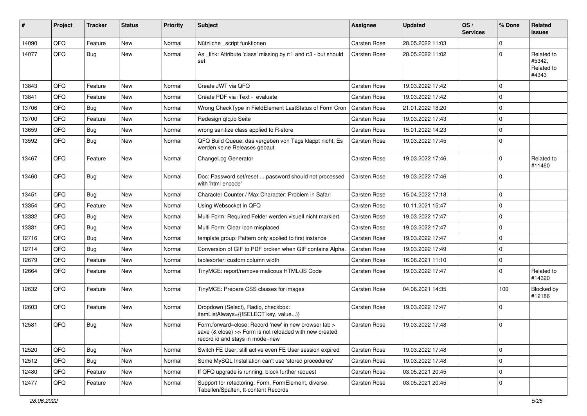| #     | Project | <b>Tracker</b> | <b>Status</b> | <b>Priority</b> | <b>Subject</b>                                                                                                                                                | Assignee            | <b>Updated</b>   | OS/<br><b>Services</b> | % Done      | Related<br><b>issues</b>                    |
|-------|---------|----------------|---------------|-----------------|---------------------------------------------------------------------------------------------------------------------------------------------------------------|---------------------|------------------|------------------------|-------------|---------------------------------------------|
| 14090 | QFQ     | Feature        | New           | Normal          | Nützliche _script funktionen                                                                                                                                  | <b>Carsten Rose</b> | 28.05.2022 11:03 |                        | $\mathbf 0$ |                                             |
| 14077 | QFQ     | Bug            | New           | Normal          | As _link: Attribute 'class' missing by r:1 and r:3 - but should<br>set                                                                                        | Carsten Rose        | 28.05.2022 11:02 |                        | $\mathbf 0$ | Related to<br>#5342,<br>Related to<br>#4343 |
| 13843 | QFQ     | Feature        | New           | Normal          | Create JWT via QFQ                                                                                                                                            | Carsten Rose        | 19.03.2022 17:42 |                        | $\mathbf 0$ |                                             |
| 13841 | QFQ     | Feature        | New           | Normal          | Create PDF via iText - evaluate                                                                                                                               | Carsten Rose        | 19.03.2022 17:42 |                        | $\Omega$    |                                             |
| 13706 | QFQ     | Bug            | New           | Normal          | Wrong CheckType in FieldElement LastStatus of Form Cron                                                                                                       | Carsten Rose        | 21.01.2022 18:20 |                        | $\mathbf 0$ |                                             |
| 13700 | QFQ     | Feature        | New           | Normal          | Redesign gfg.io Seite                                                                                                                                         | Carsten Rose        | 19.03.2022 17:43 |                        | $\mathbf 0$ |                                             |
| 13659 | QFQ     | <b>Bug</b>     | New           | Normal          | wrong sanitize class applied to R-store                                                                                                                       | Carsten Rose        | 15.01.2022 14:23 |                        | $\mathbf 0$ |                                             |
| 13592 | QFQ     | Bug            | New           | Normal          | QFQ Build Queue: das vergeben von Tags klappt nicht. Es<br>werden keine Releases gebaut.                                                                      | Carsten Rose        | 19.03.2022 17:45 |                        | $\mathbf 0$ |                                             |
| 13467 | QFQ     | Feature        | New           | Normal          | ChangeLog Generator                                                                                                                                           | Carsten Rose        | 19.03.2022 17:46 |                        | $\mathbf 0$ | Related to<br>#11460                        |
| 13460 | QFQ     | Bug            | New           | Normal          | Doc: Password set/reset  password should not processed<br>with 'html encode'                                                                                  | Carsten Rose        | 19.03.2022 17:46 |                        | $\mathbf 0$ |                                             |
| 13451 | QFQ     | <b>Bug</b>     | New           | Normal          | Character Counter / Max Character: Problem in Safari                                                                                                          | Carsten Rose        | 15.04.2022 17:18 |                        | $\mathbf 0$ |                                             |
| 13354 | QFQ     | Feature        | New           | Normal          | Using Websocket in QFQ                                                                                                                                        | Carsten Rose        | 10.11.2021 15:47 |                        | 0           |                                             |
| 13332 | QFQ     | <b>Bug</b>     | New           | Normal          | Multi Form: Required Felder werden visuell nicht markiert.                                                                                                    | Carsten Rose        | 19.03.2022 17:47 |                        | $\mathbf 0$ |                                             |
| 13331 | QFQ     | <b>Bug</b>     | New           | Normal          | Multi Form: Clear Icon misplaced                                                                                                                              | Carsten Rose        | 19.03.2022 17:47 |                        | $\mathbf 0$ |                                             |
| 12716 | QFQ     | Bug            | New           | Normal          | template group: Pattern only applied to first instance                                                                                                        | Carsten Rose        | 19.03.2022 17:47 |                        | $\Omega$    |                                             |
| 12714 | QFQ     | Bug            | New           | Normal          | Conversion of GIF to PDF broken when GIF contains Alpha.                                                                                                      | Carsten Rose        | 19.03.2022 17:49 |                        | $\mathbf 0$ |                                             |
| 12679 | QFQ     | Feature        | New           | Normal          | tablesorter: custom column width                                                                                                                              | Carsten Rose        | 16.06.2021 11:10 |                        | 0           |                                             |
| 12664 | QFQ     | Feature        | New           | Normal          | TinyMCE: report/remove malicous HTML/JS Code                                                                                                                  | <b>Carsten Rose</b> | 19.03.2022 17:47 |                        | $\Omega$    | Related to<br>#14320                        |
| 12632 | QFQ     | Feature        | New           | Normal          | TinyMCE: Prepare CSS classes for images                                                                                                                       | Carsten Rose        | 04.06.2021 14:35 |                        | 100         | Blocked by<br>#12186                        |
| 12603 | QFQ     | Feature        | New           | Normal          | Dropdown (Select), Radio, checkbox:<br>itemListAlways={{!SELECT key, value}}                                                                                  | Carsten Rose        | 19.03.2022 17:47 |                        | $\mathbf 0$ |                                             |
| 12581 | QFQ     | Bug            | New           | Normal          | Form.forward=close: Record 'new' in new browser tab ><br>save $(8 \text{ close}) >>$ Form is not reloaded with new created<br>record id and stays in mode=new | Carsten Rose        | 19.03.2022 17:48 |                        | $\mathbf 0$ |                                             |
| 12520 | QFQ     | <b>Bug</b>     | <b>New</b>    | Normal          | Switch FE User: still active even FE User session expired                                                                                                     | Carsten Rose        | 19.03.2022 17:48 |                        | $\pmb{0}$   |                                             |
| 12512 | QFQ     | <b>Bug</b>     | New           | Normal          | Some MySQL Installation can't use 'stored procedures'                                                                                                         | Carsten Rose        | 19.03.2022 17:48 |                        | $\mathbf 0$ |                                             |
| 12480 | QFQ     | Feature        | New           | Normal          | If QFQ upgrade is running, block further request                                                                                                              | Carsten Rose        | 03.05.2021 20:45 |                        | $\mathbf 0$ |                                             |
| 12477 | QFQ     | Feature        | New           | Normal          | Support for refactoring: Form, FormElement, diverse<br>Tabellen/Spalten, tt-content Records                                                                   | Carsten Rose        | 03.05.2021 20:45 |                        | 0           |                                             |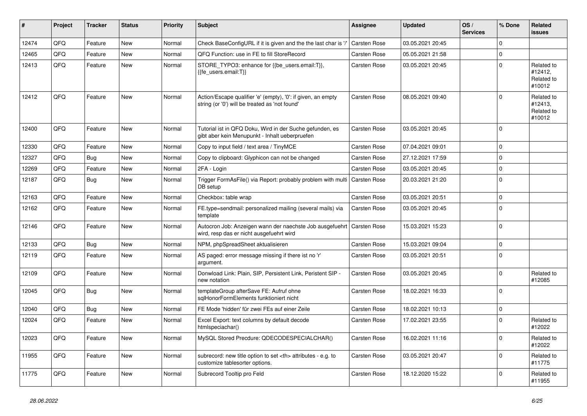| #     | Project | <b>Tracker</b> | <b>Status</b> | <b>Priority</b> | <b>Subject</b>                                                                                                 | <b>Assignee</b>                                        | <b>Updated</b>   | OS/<br><b>Services</b> | % Done         | Related<br><b>issues</b>                      |                      |
|-------|---------|----------------|---------------|-----------------|----------------------------------------------------------------------------------------------------------------|--------------------------------------------------------|------------------|------------------------|----------------|-----------------------------------------------|----------------------|
| 12474 | QFQ     | Feature        | <b>New</b>    | Normal          | Check BaseConfigURL if it is given and the the last char is '/'                                                | <b>Carsten Rose</b>                                    | 03.05.2021 20:45 |                        | 0              |                                               |                      |
| 12465 | QFQ     | Feature        | <b>New</b>    | Normal          | QFQ Function: use in FE to fill StoreRecord                                                                    | Carsten Rose                                           | 05.05.2021 21:58 |                        | $\overline{0}$ |                                               |                      |
| 12413 | QFQ     | Feature        | New           | Normal          | STORE_TYPO3: enhance for {{be_users.email:T}},<br>{{fe_users.email:T}}                                         | Carsten Rose                                           | 03.05.2021 20:45 |                        | $\Omega$       | Related to<br>#12412,<br>Related to<br>#10012 |                      |
| 12412 | QFQ     | Feature        | <b>New</b>    | Normal          | Action/Escape qualifier 'e' (empty), '0': if given, an empty<br>string (or '0') will be treated as 'not found' | <b>Carsten Rose</b>                                    | 08.05.2021 09:40 |                        | $\Omega$       | Related to<br>#12413,<br>Related to<br>#10012 |                      |
| 12400 | QFQ     | Feature        | <b>New</b>    | Normal          | Tutorial ist in QFQ Doku, Wird in der Suche gefunden, es<br>gibt aber kein Menupunkt - Inhalt ueberpruefen     | <b>Carsten Rose</b>                                    | 03.05.2021 20:45 |                        | $\Omega$       |                                               |                      |
| 12330 | QFQ     | Feature        | <b>New</b>    | Normal          | Copy to input field / text area / TinyMCE                                                                      | Carsten Rose                                           | 07.04.2021 09:01 |                        | 0              |                                               |                      |
| 12327 | QFQ     | Bug            | <b>New</b>    | Normal          | Copy to clipboard: Glyphicon can not be changed                                                                | Carsten Rose                                           | 27.12.2021 17:59 |                        | $\Omega$       |                                               |                      |
| 12269 | QFQ     | Feature        | <b>New</b>    | Normal          | 2FA - Login                                                                                                    | <b>Carsten Rose</b>                                    | 03.05.2021 20:45 |                        | 0              |                                               |                      |
| 12187 | QFQ     | Bug            | <b>New</b>    | Normal          | Trigger FormAsFile() via Report: probably problem with multi   Carsten Rose<br>DB setup                        |                                                        | 20.03.2021 21:20 |                        | $\Omega$       |                                               |                      |
| 12163 | QFQ     | Feature        | <b>New</b>    | Normal          | Checkbox: table wrap                                                                                           | Carsten Rose                                           | 03.05.2021 20:51 |                        | 0              |                                               |                      |
| 12162 | QFQ     | Feature        | <b>New</b>    | Normal          | FE.type=sendmail: personalized mailing (several mails) via<br>template                                         | Carsten Rose                                           | 03.05.2021 20:45 |                        | $\Omega$       |                                               |                      |
| 12146 | QFQ     | Feature        | <b>New</b>    | Normal          | Autocron Job: Anzeigen wann der naechste Job ausgefuehrt<br>wird, resp das er nicht ausgefuehrt wird           | Carsten Rose                                           | 15.03.2021 15:23 |                        | $\Omega$       |                                               |                      |
| 12133 | QFQ     | Bug            | <b>New</b>    | Normal          | NPM, phpSpreadSheet aktualisieren                                                                              | Carsten Rose                                           | 15.03.2021 09:04 |                        | 0              |                                               |                      |
| 12119 | QFQ     | Feature        | New           | Normal          | AS paged: error message missing if there ist no 'r'<br>argument.                                               | Carsten Rose                                           | 03.05.2021 20:51 |                        | $\Omega$       |                                               |                      |
| 12109 | QFQ     | Feature        | <b>New</b>    | Normal          | Donwload Link: Plain, SIP, Persistent Link, Peristent SIP -<br>new notation                                    | Carsten Rose                                           | 03.05.2021 20:45 |                        | 0              | Related to<br>#12085                          |                      |
| 12045 | QFQ     | Bug            | New           | Normal          | templateGroup afterSave FE: Aufruf ohne<br>sglHonorFormElements funktioniert nicht                             | Carsten Rose                                           | 18.02.2021 16:33 |                        | $\Omega$       |                                               |                      |
| 12040 | QFQ     | Bug            | <b>New</b>    | Normal          | FE Mode 'hidden' für zwei FEs auf einer Zeile                                                                  | Carsten Rose                                           | 18.02.2021 10:13 |                        | 0              |                                               |                      |
| 12024 | QFQ     | Feature        | New           | Normal          | Excel Export: text columns by default decode<br>htmlspeciachar()                                               | <b>Carsten Rose</b>                                    | 17.02.2021 23:55 |                        | $\Omega$       | Related to<br>#12022                          |                      |
| 12023 | QFQ     | Feature        | New           | Normal          | MySQL Stored Precdure: QDECODESPECIALCHAR()                                                                    | <b>Carsten Rose</b>                                    | 16.02.2021 11:16 |                        | $\Omega$       | Related to<br>#12022                          |                      |
| 11955 | QFQ     | Feature        | <b>New</b>    | Normal          | subrecord: new title option to set <th> attributes - e.g. to<br/>customize tablesorter options.</th>           | attributes - e.g. to<br>customize tablesorter options. | Carsten Rose     | 03.05.2021 20:47       |                | $\Omega$                                      | Related to<br>#11775 |
| 11775 | QFQ     | Feature        | <b>New</b>    | Normal          | Subrecord Tooltip pro Feld                                                                                     | Carsten Rose                                           | 18.12.2020 15:22 |                        | $\Omega$       | Related to<br>#11955                          |                      |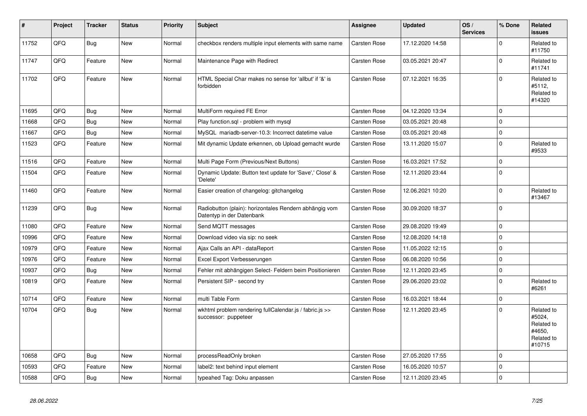| $\sharp$ | Project | <b>Tracker</b> | <b>Status</b> | <b>Priority</b> | <b>Subject</b>                                                                      | <b>Assignee</b>     | <b>Updated</b>   | OS/<br><b>Services</b> | % Done         | Related<br><b>issues</b>                                             |
|----------|---------|----------------|---------------|-----------------|-------------------------------------------------------------------------------------|---------------------|------------------|------------------------|----------------|----------------------------------------------------------------------|
| 11752    | QFQ     | <b>Bug</b>     | New           | Normal          | checkbox renders multiple input elements with same name                             | Carsten Rose        | 17.12.2020 14:58 |                        | 0              | Related to<br>#11750                                                 |
| 11747    | QFQ     | Feature        | <b>New</b>    | Normal          | Maintenance Page with Redirect                                                      | Carsten Rose        | 03.05.2021 20:47 |                        | 0              | Related to<br>#11741                                                 |
| 11702    | QFQ     | Feature        | New           | Normal          | HTML Special Char makes no sense for 'allbut' if '&' is<br>forbidden                | Carsten Rose        | 07.12.2021 16:35 |                        | $\Omega$       | Related to<br>#5112,<br>Related to<br>#14320                         |
| 11695    | QFQ     | Bug            | <b>New</b>    | Normal          | MultiForm required FE Error                                                         | Carsten Rose        | 04.12.2020 13:34 |                        | 0              |                                                                      |
| 11668    | QFQ     | <b>Bug</b>     | New           | Normal          | Play function.sql - problem with mysql                                              | Carsten Rose        | 03.05.2021 20:48 |                        | 0              |                                                                      |
| 11667    | QFQ     | Bug            | New           | Normal          | MySQL mariadb-server-10.3: Incorrect datetime value                                 | Carsten Rose        | 03.05.2021 20:48 |                        | 0              |                                                                      |
| 11523    | QFQ     | Feature        | New           | Normal          | Mit dynamic Update erkennen, ob Upload gemacht wurde                                | Carsten Rose        | 13.11.2020 15:07 |                        | 0              | Related to<br>#9533                                                  |
| 11516    | QFQ     | Feature        | New           | Normal          | Multi Page Form (Previous/Next Buttons)                                             | Carsten Rose        | 16.03.2021 17:52 |                        | $\Omega$       |                                                                      |
| 11504    | QFQ     | Feature        | New           | Normal          | Dynamic Update: Button text update for 'Save',' Close' &<br>'Delete'                | Carsten Rose        | 12.11.2020 23:44 |                        | $\Omega$       |                                                                      |
| 11460    | QFQ     | Feature        | <b>New</b>    | Normal          | Easier creation of changelog: gitchangelog                                          | Carsten Rose        | 12.06.2021 10:20 |                        | 0              | Related to<br>#13467                                                 |
| 11239    | QFQ     | <b>Bug</b>     | New           | Normal          | Radiobutton (plain): horizontales Rendern abhängig vom<br>Datentyp in der Datenbank | Carsten Rose        | 30.09.2020 18:37 |                        | $\Omega$       |                                                                      |
| 11080    | QFQ     | Feature        | <b>New</b>    | Normal          | Send MQTT messages                                                                  | Carsten Rose        | 29.08.2020 19:49 |                        | 0              |                                                                      |
| 10996    | QFQ     | Feature        | New           | Normal          | Download video via sip: no seek                                                     | Carsten Rose        | 12.08.2020 14:18 |                        | $\Omega$       |                                                                      |
| 10979    | QFQ     | Feature        | <b>New</b>    | Normal          | Ajax Calls an API - dataReport                                                      | Carsten Rose        | 11.05.2022 12:15 |                        | 0              |                                                                      |
| 10976    | QFQ     | Feature        | New           | Normal          | Excel Export Verbesserungen                                                         | Carsten Rose        | 06.08.2020 10:56 |                        | 0              |                                                                      |
| 10937    | QFQ     | <b>Bug</b>     | <b>New</b>    | Normal          | Fehler mit abhängigen Select- Feldern beim Positionieren                            | <b>Carsten Rose</b> | 12.11.2020 23:45 |                        | 0              |                                                                      |
| 10819    | QFQ     | Feature        | New           | Normal          | Persistent SIP - second try                                                         | Carsten Rose        | 29.06.2020 23:02 |                        | $\Omega$       | Related to<br>#6261                                                  |
| 10714    | QFQ     | Feature        | <b>New</b>    | Normal          | multi Table Form                                                                    | Carsten Rose        | 16.03.2021 18:44 |                        | 0              |                                                                      |
| 10704    | QFQ     | <b>Bug</b>     | New           | Normal          | wkhtml problem rendering fullCalendar.js / fabric.js >><br>successor: puppeteer     | Carsten Rose        | 12.11.2020 23:45 |                        | $\Omega$       | Related to<br>#5024,<br>Related to<br>#4650,<br>Related to<br>#10715 |
| 10658    | QFQ     | Bug            | New           | Normal          | processReadOnly broken                                                              | Carsten Rose        | 27.05.2020 17:55 |                        | $\Omega$       |                                                                      |
| 10593    | QFQ     | Feature        | <b>New</b>    | Normal          | label2: text behind input element                                                   | Carsten Rose        | 16.05.2020 10:57 |                        | $\overline{0}$ |                                                                      |
| 10588    | QFQ     | <b>Bug</b>     | New           | Normal          | typeahed Tag: Doku anpassen                                                         | Carsten Rose        | 12.11.2020 23:45 |                        | $\Omega$       |                                                                      |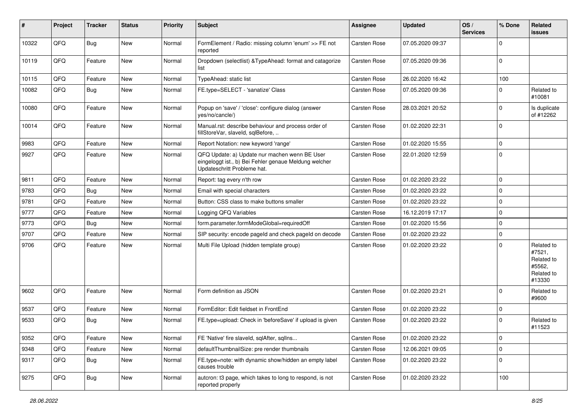| #     | Project | <b>Tracker</b> | <b>Status</b> | <b>Priority</b> | <b>Subject</b>                                                                                                                        | Assignee            | <b>Updated</b>   | OS/<br><b>Services</b> | % Done      | Related<br><b>issues</b>                                             |
|-------|---------|----------------|---------------|-----------------|---------------------------------------------------------------------------------------------------------------------------------------|---------------------|------------------|------------------------|-------------|----------------------------------------------------------------------|
| 10322 | QFQ     | <b>Bug</b>     | <b>New</b>    | Normal          | FormElement / Radio: missing column 'enum' >> FE not<br>reported                                                                      | <b>Carsten Rose</b> | 07.05.2020 09:37 |                        | 0           |                                                                      |
| 10119 | QFQ     | Feature        | <b>New</b>    | Normal          | Dropdown (selectlist) & TypeAhead: format and catagorize<br>list                                                                      | Carsten Rose        | 07.05.2020 09:36 |                        | $\Omega$    |                                                                      |
| 10115 | QFQ     | Feature        | New           | Normal          | TypeAhead: static list                                                                                                                | Carsten Rose        | 26.02.2020 16:42 |                        | 100         |                                                                      |
| 10082 | QFQ     | <b>Bug</b>     | New           | Normal          | FE.type=SELECT - 'sanatize' Class                                                                                                     | Carsten Rose        | 07.05.2020 09:36 |                        | $\Omega$    | Related to<br>#10081                                                 |
| 10080 | QFQ     | Feature        | New           | Normal          | Popup on 'save' / 'close': configure dialog (answer<br>yes/no/cancle/)                                                                | Carsten Rose        | 28.03.2021 20:52 |                        | 0           | Is duplicate<br>of #12262                                            |
| 10014 | QFQ     | Feature        | New           | Normal          | Manual.rst: describe behaviour and process order of<br>fillStoreVar, slaveId, sqlBefore,                                              | Carsten Rose        | 01.02.2020 22:31 |                        | 0           |                                                                      |
| 9983  | QFQ     | Feature        | <b>New</b>    | Normal          | Report Notation: new keyword 'range'                                                                                                  | Carsten Rose        | 01.02.2020 15:55 |                        | $\mathbf 0$ |                                                                      |
| 9927  | QFQ     | Feature        | New           | Normal          | QFQ Update: a) Update nur machen wenn BE User<br>eingeloggt ist., b) Bei Fehler genaue Meldung welcher<br>Updateschritt Probleme hat. | Carsten Rose        | 22.01.2020 12:59 |                        | $\mathbf 0$ |                                                                      |
| 9811  | QFQ     | Feature        | <b>New</b>    | Normal          | Report: tag every n'th row                                                                                                            | Carsten Rose        | 01.02.2020 23:22 |                        | 0           |                                                                      |
| 9783  | QFQ     | Bug            | New           | Normal          | Email with special characters                                                                                                         | Carsten Rose        | 01.02.2020 23:22 |                        | $\Omega$    |                                                                      |
| 9781  | QFQ     | Feature        | New           | Normal          | Button: CSS class to make buttons smaller                                                                                             | Carsten Rose        | 01.02.2020 23:22 |                        | 0           |                                                                      |
| 9777  | QFQ     | Feature        | New           | Normal          | Logging QFQ Variables                                                                                                                 | Carsten Rose        | 16.12.2019 17:17 |                        | $\Omega$    |                                                                      |
| 9773  | QFQ     | Bug            | New           | Normal          | form.parameter.formModeGlobal=requiredOff                                                                                             | Carsten Rose        | 01.02.2020 15:56 |                        | $\mathbf 0$ |                                                                      |
| 9707  | QFQ     | Feature        | New           | Normal          | SIP security: encode pageld and check pageld on decode                                                                                | Carsten Rose        | 01.02.2020 23:22 |                        | 0           |                                                                      |
| 9706  | QFQ     | Feature        | New           | Normal          | Multi File Upload (hidden template group)                                                                                             | Carsten Rose        | 01.02.2020 23:22 |                        | $\Omega$    | Related to<br>#7521,<br>Related to<br>#5562,<br>Related to<br>#13330 |
| 9602  | QFQ     | Feature        | <b>New</b>    | Normal          | Form definition as JSON                                                                                                               | <b>Carsten Rose</b> | 01.02.2020 23:21 |                        | $\Omega$    | Related to<br>#9600                                                  |
| 9537  | QFQ     | Feature        | <b>New</b>    | Normal          | FormEditor: Edit fieldset in FrontEnd                                                                                                 | Carsten Rose        | 01.02.2020 23:22 |                        | $\mathbf 0$ |                                                                      |
| 9533  | QFQ     | <b>Bug</b>     | New           | Normal          | FE.type=upload: Check in 'beforeSave' if upload is given                                                                              | Carsten Rose        | 01.02.2020 23:22 |                        | $\Omega$    | Related to<br>#11523                                                 |
| 9352  | QFQ     | Feature        | New           | Normal          | FE 'Native' fire slaveld, sqlAfter, sqlIns                                                                                            | Carsten Rose        | 01.02.2020 23:22 |                        | $\pmb{0}$   |                                                                      |
| 9348  | QFQ     | Feature        | New           | Normal          | defaultThumbnailSize: pre render thumbnails                                                                                           | Carsten Rose        | 12.06.2021 09:05 |                        | 0           |                                                                      |
| 9317  | QFQ     | <b>Bug</b>     | New           | Normal          | FE.type=note: with dynamic show/hidden an empty label<br>causes trouble                                                               | Carsten Rose        | 01.02.2020 23:22 |                        | 0           |                                                                      |
| 9275  | QFQ     | <b>Bug</b>     | New           | Normal          | autcron: t3 page, which takes to long to respond, is not<br>reported properly                                                         | Carsten Rose        | 01.02.2020 23:22 |                        | 100         |                                                                      |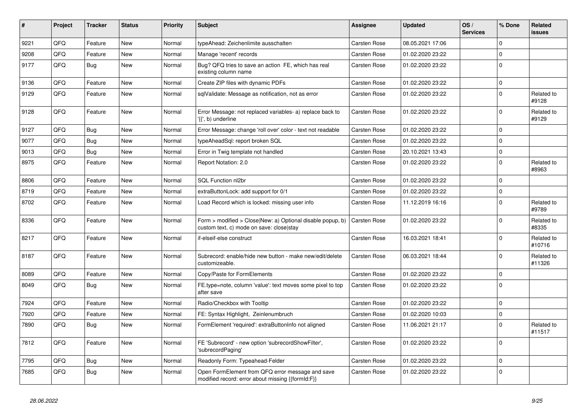| #    | Project | <b>Tracker</b> | <b>Status</b> | <b>Priority</b> | <b>Subject</b>                                                                                         | <b>Assignee</b>     | <b>Updated</b>   | OS/<br><b>Services</b> | % Done      | Related<br><b>issues</b> |
|------|---------|----------------|---------------|-----------------|--------------------------------------------------------------------------------------------------------|---------------------|------------------|------------------------|-------------|--------------------------|
| 9221 | QFQ     | Feature        | <b>New</b>    | Normal          | typeAhead: Zeichenlimite ausschalten                                                                   | Carsten Rose        | 08.05.2021 17:06 |                        | $\mathbf 0$ |                          |
| 9208 | QFQ     | Feature        | New           | Normal          | Manage 'recent' records                                                                                | Carsten Rose        | 01.02.2020 23:22 |                        | 0           |                          |
| 9177 | QFQ     | <b>Bug</b>     | New           | Normal          | Bug? QFQ tries to save an action FE, which has real<br>existing column name                            | <b>Carsten Rose</b> | 01.02.2020 23:22 |                        | $\mathbf 0$ |                          |
| 9136 | QFQ     | Feature        | New           | Normal          | Create ZIP files with dynamic PDFs                                                                     | Carsten Rose        | 01.02.2020 23:22 |                        | 0           |                          |
| 9129 | QFQ     | Feature        | New           | Normal          | sqlValidate: Message as notification, not as error                                                     | <b>Carsten Rose</b> | 01.02.2020 23:22 |                        | $\mathbf 0$ | Related to<br>#9128      |
| 9128 | QFQ     | Feature        | New           | Normal          | Error Message: not replaced variables- a) replace back to<br>'{{', b) underline                        | <b>Carsten Rose</b> | 01.02.2020 23:22 |                        | $\Omega$    | Related to<br>#9129      |
| 9127 | QFQ     | Bug            | <b>New</b>    | Normal          | Error Message: change 'roll over' color - text not readable                                            | <b>Carsten Rose</b> | 01.02.2020 23:22 |                        | 0           |                          |
| 9077 | QFQ     | Bug            | <b>New</b>    | Normal          | typeAheadSql: report broken SQL                                                                        | Carsten Rose        | 01.02.2020 23:22 |                        | $\mathbf 0$ |                          |
| 9013 | QFQ     | <b>Bug</b>     | <b>New</b>    | Normal          | Error in Twig template not handled                                                                     | Carsten Rose        | 20.10.2021 13:43 |                        | 0           |                          |
| 8975 | QFQ     | Feature        | New           | Normal          | Report Notation: 2.0                                                                                   | Carsten Rose        | 01.02.2020 23:22 |                        | $\pmb{0}$   | Related to<br>#8963      |
| 8806 | QFQ     | Feature        | New           | Normal          | SQL Function nl2br                                                                                     | Carsten Rose        | 01.02.2020 23:22 |                        | 0           |                          |
| 8719 | QFQ     | Feature        | New           | Normal          | extraButtonLock: add support for 0/1                                                                   | Carsten Rose        | 01.02.2020 23:22 |                        | 0           |                          |
| 8702 | QFQ     | Feature        | <b>New</b>    | Normal          | Load Record which is locked: missing user info                                                         | <b>Carsten Rose</b> | 11.12.2019 16:16 |                        | $\Omega$    | Related to<br>#9789      |
| 8336 | QFQ     | Feature        | <b>New</b>    | Normal          | Form > modified > Close New: a) Optional disable popup, b)<br>custom text, c) mode on save: closelstay | <b>Carsten Rose</b> | 01.02.2020 23:22 |                        | $\Omega$    | Related to<br>#8335      |
| 8217 | QFQ     | Feature        | <b>New</b>    | Normal          | if-elseif-else construct                                                                               | Carsten Rose        | 16.03.2021 18:41 |                        | $\Omega$    | Related to<br>#10716     |
| 8187 | QFQ     | Feature        | New           | Normal          | Subrecord: enable/hide new button - make new/edit/delete<br>customizeable.                             | <b>Carsten Rose</b> | 06.03.2021 18:44 |                        | 0           | Related to<br>#11326     |
| 8089 | QFQ     | Feature        | <b>New</b>    | Normal          | Copy/Paste for FormElements                                                                            | <b>Carsten Rose</b> | 01.02.2020 23:22 |                        | $\Omega$    |                          |
| 8049 | QFQ     | <b>Bug</b>     | New           | Normal          | FE.type=note, column 'value': text moves some pixel to top<br>after save                               | <b>Carsten Rose</b> | 01.02.2020 23:22 |                        | $\mathbf 0$ |                          |
| 7924 | QFQ     | Feature        | <b>New</b>    | Normal          | Radio/Checkbox with Tooltip                                                                            | Carsten Rose        | 01.02.2020 23:22 |                        | 0           |                          |
| 7920 | QFQ     | Feature        | <b>New</b>    | Normal          | FE: Syntax Highlight, Zeinlenumbruch                                                                   | Carsten Rose        | 01.02.2020 10:03 |                        | 0           |                          |
| 7890 | QFQ     | <b>Bug</b>     | <b>New</b>    | Normal          | FormElement 'required': extraButtonInfo not aligned                                                    | Carsten Rose        | 11.06.2021 21:17 |                        | 0           | Related to<br>#11517     |
| 7812 | QFQ     | Feature        | New           | Normal          | FE 'Subrecord' - new option 'subrecordShowFilter',<br>'subrecordPaging'                                | <b>Carsten Rose</b> | 01.02.2020 23:22 |                        | $\Omega$    |                          |
| 7795 | QFQ     | <b>Bug</b>     | New           | Normal          | Readonly Form: Typeahead-Felder                                                                        | <b>Carsten Rose</b> | 01.02.2020 23:22 |                        | $\pmb{0}$   |                          |
| 7685 | QFQ     | <b>Bug</b>     | <b>New</b>    | Normal          | Open FormElement from QFQ error message and save<br>modified record: error about missing {{formId:F}}  | <b>Carsten Rose</b> | 01.02.2020 23:22 |                        | $\mathbf 0$ |                          |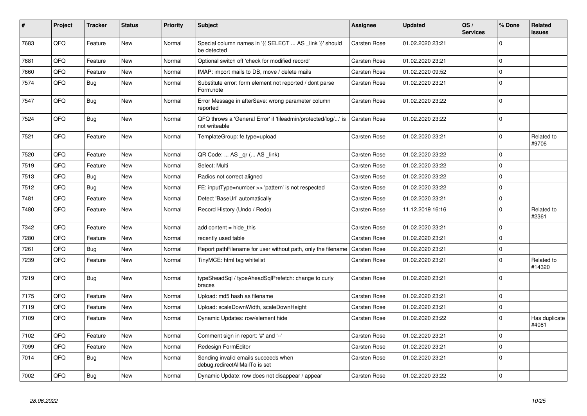| #    | Project | <b>Tracker</b> | <b>Status</b> | <b>Priority</b> | <b>Subject</b>                                                                 | <b>Assignee</b>     | <b>Updated</b>   | OS/<br><b>Services</b> | % Done      | Related<br><b>issues</b> |
|------|---------|----------------|---------------|-----------------|--------------------------------------------------------------------------------|---------------------|------------------|------------------------|-------------|--------------------------|
| 7683 | QFQ     | Feature        | <b>New</b>    | Normal          | Special column names in '{{ SELECT  AS _link }}' should<br>be detected         | Carsten Rose        | 01.02.2020 23:21 |                        | $\mathbf 0$ |                          |
| 7681 | QFQ     | Feature        | <b>New</b>    | Normal          | Optional switch off 'check for modified record'                                | Carsten Rose        | 01.02.2020 23:21 |                        | $\mathbf 0$ |                          |
| 7660 | QFQ     | Feature        | <b>New</b>    | Normal          | IMAP: import mails to DB, move / delete mails                                  | Carsten Rose        | 01.02.2020 09:52 |                        | $\pmb{0}$   |                          |
| 7574 | QFQ     | Bug            | New           | Normal          | Substitute error: form element not reported / dont parse<br>Form.note          | Carsten Rose        | 01.02.2020 23:21 |                        | $\mathbf 0$ |                          |
| 7547 | QFQ     | Bug            | <b>New</b>    | Normal          | Error Message in afterSave: wrong parameter column<br>reported                 | Carsten Rose        | 01.02.2020 23:22 |                        | $\mathbf 0$ |                          |
| 7524 | QFQ     | <b>Bug</b>     | New           | Normal          | QFQ throws a 'General Error' if 'fileadmin/protected/log/' is<br>not writeable | Carsten Rose        | 01.02.2020 23:22 |                        | $\mathbf 0$ |                          |
| 7521 | QFQ     | Feature        | New           | Normal          | TemplateGroup: fe.type=upload                                                  | Carsten Rose        | 01.02.2020 23:21 |                        | $\mathbf 0$ | Related to<br>#9706      |
| 7520 | QFQ     | Feature        | <b>New</b>    | Normal          | QR Code:  AS _qr ( AS _link)                                                   | Carsten Rose        | 01.02.2020 23:22 |                        | $\mathbf 0$ |                          |
| 7519 | QFQ     | Feature        | New           | Normal          | Select: Multi                                                                  | Carsten Rose        | 01.02.2020 23:22 |                        | $\mathbf 0$ |                          |
| 7513 | QFQ     | <b>Bug</b>     | <b>New</b>    | Normal          | Radios not correct aligned                                                     | Carsten Rose        | 01.02.2020 23:22 |                        | $\mathbf 0$ |                          |
| 7512 | QFQ     | <b>Bug</b>     | <b>New</b>    | Normal          | FE: inputType=number >> 'pattern' is not respected                             | Carsten Rose        | 01.02.2020 23:22 |                        | $\mathbf 0$ |                          |
| 7481 | QFQ     | Feature        | <b>New</b>    | Normal          | Detect 'BaseUrl' automatically                                                 | Carsten Rose        | 01.02.2020 23:21 |                        | $\mathbf 0$ |                          |
| 7480 | QFQ     | Feature        | New           | Normal          | Record History (Undo / Redo)                                                   | Carsten Rose        | 11.12.2019 16:16 |                        | $\pmb{0}$   | Related to<br>#2361      |
| 7342 | QFQ     | Feature        | <b>New</b>    | Normal          | add content = hide this                                                        | Carsten Rose        | 01.02.2020 23:21 |                        | $\mathbf 0$ |                          |
| 7280 | QFQ     | Feature        | New           | Normal          | recently used table                                                            | Carsten Rose        | 01.02.2020 23:21 |                        | $\mathbf 0$ |                          |
| 7261 | QFQ     | Bug            | New           | Normal          | Report pathFilename for user without path, only the filename                   | <b>Carsten Rose</b> | 01.02.2020 23:21 |                        | $\mathbf 0$ |                          |
| 7239 | QFQ     | Feature        | <b>New</b>    | Normal          | TinyMCE: html tag whitelist                                                    | Carsten Rose        | 01.02.2020 23:21 |                        | $\pmb{0}$   | Related to<br>#14320     |
| 7219 | QFQ     | <b>Bug</b>     | <b>New</b>    | Normal          | typeSheadSql / typeAheadSqlPrefetch: change to curly<br>braces                 | Carsten Rose        | 01.02.2020 23:21 |                        | $\mathbf 0$ |                          |
| 7175 | QFQ     | Feature        | New           | Normal          | Upload: md5 hash as filename                                                   | Carsten Rose        | 01.02.2020 23:21 |                        | $\mathbf 0$ |                          |
| 7119 | QFQ     | Feature        | <b>New</b>    | Normal          | Upload: scaleDownWidth, scaleDownHeight                                        | Carsten Rose        | 01.02.2020 23:21 |                        | $\mathbf 0$ |                          |
| 7109 | QFQ     | Feature        | New           | Normal          | Dynamic Updates: row/element hide                                              | Carsten Rose        | 01.02.2020 23:22 |                        | $\mathbf 0$ | Has duplicate<br>#4081   |
| 7102 | QFQ     | Feature        | <b>New</b>    | Normal          | Comment sign in report: '#' and '--'                                           | <b>Carsten Rose</b> | 01.02.2020 23:21 |                        | $\mathbf 0$ |                          |
| 7099 | QFQ     | Feature        | <b>New</b>    | Normal          | <b>Redesign FormEditor</b>                                                     | Carsten Rose        | 01.02.2020 23:21 |                        | $\mathbf 0$ |                          |
| 7014 | QFQ     | Bug            | New           | Normal          | Sending invalid emails succeeds when<br>debug.redirectAllMailTo is set         | Carsten Rose        | 01.02.2020 23:21 |                        | $\mathbf 0$ |                          |
| 7002 | QFQ     | Bug            | New           | Normal          | Dynamic Update: row does not disappear / appear                                | <b>Carsten Rose</b> | 01.02.2020 23:22 |                        | $\mathbf 0$ |                          |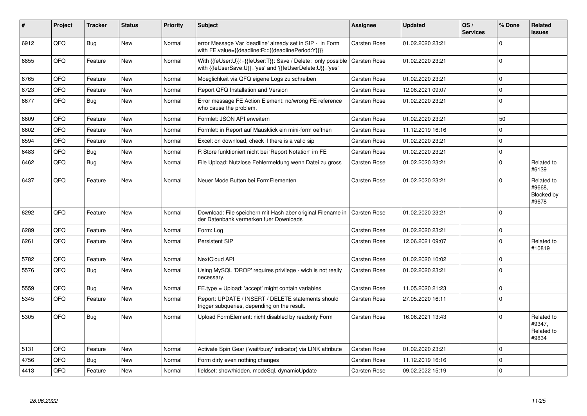| #    | Project | <b>Tracker</b> | <b>Status</b> | <b>Priority</b> | <b>Subject</b>                                                                                                             | Assignee            | <b>Updated</b>   | OS/<br><b>Services</b> | % Done         | Related<br><b>issues</b>                    |
|------|---------|----------------|---------------|-----------------|----------------------------------------------------------------------------------------------------------------------------|---------------------|------------------|------------------------|----------------|---------------------------------------------|
| 6912 | QFQ     | Bug            | <b>New</b>    | Normal          | error Message Var 'deadline' already set in SIP - in Form<br>with FE.value={{deadline:R:::{{deadlinePeriod:Y}}}}           | <b>Carsten Rose</b> | 01.02.2020 23:21 |                        | 0              |                                             |
| 6855 | QFQ     | Feature        | New           | Normal          | With {{feUser:U}}!={{feUser:T}}: Save / Delete: only possible<br>with {{feUserSave:U}}='yes' and '{{feUserDelete:U}}='yes' | <b>Carsten Rose</b> | 01.02.2020 23:21 |                        | $\Omega$       |                                             |
| 6765 | QFQ     | Feature        | <b>New</b>    | Normal          | Moeglichkeit via QFQ eigene Logs zu schreiben                                                                              | Carsten Rose        | 01.02.2020 23:21 |                        | 0              |                                             |
| 6723 | QFQ     | Feature        | <b>New</b>    | Normal          | Report QFQ Installation and Version                                                                                        | Carsten Rose        | 12.06.2021 09:07 |                        | $\Omega$       |                                             |
| 6677 | QFQ     | <b>Bug</b>     | New           | Normal          | Error message FE Action Element: no/wrong FE reference<br>who cause the problem.                                           | <b>Carsten Rose</b> | 01.02.2020 23:21 |                        | $\Omega$       |                                             |
| 6609 | QFQ     | Feature        | <b>New</b>    | Normal          | Formlet: JSON API erweitern                                                                                                | Carsten Rose        | 01.02.2020 23:21 |                        | 50             |                                             |
| 6602 | QFQ     | Feature        | <b>New</b>    | Normal          | Formlet: in Report auf Mausklick ein mini-form oeffnen                                                                     | Carsten Rose        | 11.12.2019 16:16 |                        | 0              |                                             |
| 6594 | QFQ     | Feature        | New           | Normal          | Excel: on download, check if there is a valid sip                                                                          | Carsten Rose        | 01.02.2020 23:21 |                        | 0              |                                             |
| 6483 | QFQ     | Bug            | New           | Normal          | R Store funktioniert nicht bei 'Report Notation' im FE                                                                     | <b>Carsten Rose</b> | 01.02.2020 23:21 |                        | $\overline{0}$ |                                             |
| 6462 | QFQ     | Bug            | New           | Normal          | File Upload: Nutzlose Fehlermeldung wenn Datei zu gross                                                                    | Carsten Rose        | 01.02.2020 23:21 |                        | $\Omega$       | Related to<br>#6139                         |
| 6437 | QFQ     | Feature        | <b>New</b>    | Normal          | Neuer Mode Button bei FormElementen                                                                                        | <b>Carsten Rose</b> | 01.02.2020 23:21 |                        | $\Omega$       | Related to<br>#9668,<br>Blocked by<br>#9678 |
| 6292 | QFQ     | Feature        | <b>New</b>    | Normal          | Download: File speichern mit Hash aber original Filename in<br>der Datenbank vermerken fuer Downloads                      | Carsten Rose        | 01.02.2020 23:21 |                        | $\Omega$       |                                             |
| 6289 | QFQ     | Feature        | New           | Normal          | Form: Log                                                                                                                  | Carsten Rose        | 01.02.2020 23:21 |                        | 0              |                                             |
| 6261 | QFQ     | Feature        | <b>New</b>    | Normal          | Persistent SIP                                                                                                             | Carsten Rose        | 12.06.2021 09:07 |                        | $\Omega$       | Related to<br>#10819                        |
| 5782 | QFQ     | Feature        | New           | Normal          | NextCloud API                                                                                                              | <b>Carsten Rose</b> | 01.02.2020 10:02 |                        | $\overline{0}$ |                                             |
| 5576 | QFQ     | Bug            | <b>New</b>    | Normal          | Using MySQL 'DROP' requires privilege - wich is not really<br>necessary.                                                   | <b>Carsten Rose</b> | 01.02.2020 23:21 |                        | $\Omega$       |                                             |
| 5559 | QFQ     | <b>Bug</b>     | New           | Normal          | FE.type = Upload: 'accept' might contain variables                                                                         | Carsten Rose        | 11.05.2020 21:23 |                        | $\Omega$       |                                             |
| 5345 | QFQ     | Feature        | <b>New</b>    | Normal          | Report: UPDATE / INSERT / DELETE statements should<br>trigger subqueries, depending on the result.                         | <b>Carsten Rose</b> | 27.05.2020 16:11 |                        | $\Omega$       |                                             |
| 5305 | QFQ     | Bug            | New           | Normal          | Upload FormElement: nicht disabled by readonly Form                                                                        | <b>Carsten Rose</b> | 16.06.2021 13:43 |                        | $\Omega$       | Related to<br>#9347,<br>Related to<br>#9834 |
| 5131 | QFQ     | Feature        | New           | Normal          | Activate Spin Gear ('wait/busy' indicator) via LINK attribute                                                              | Carsten Rose        | 01.02.2020 23:21 |                        | $\Omega$       |                                             |
| 4756 | QFQ     | <b>Bug</b>     | <b>New</b>    | Normal          | Form dirty even nothing changes                                                                                            | Carsten Rose        | 11.12.2019 16:16 |                        | $\Omega$       |                                             |
| 4413 | QFQ     | Feature        | New           | Normal          | fieldset: show/hidden, modeSql, dynamicUpdate                                                                              | <b>Carsten Rose</b> | 09.02.2022 15:19 |                        | 0              |                                             |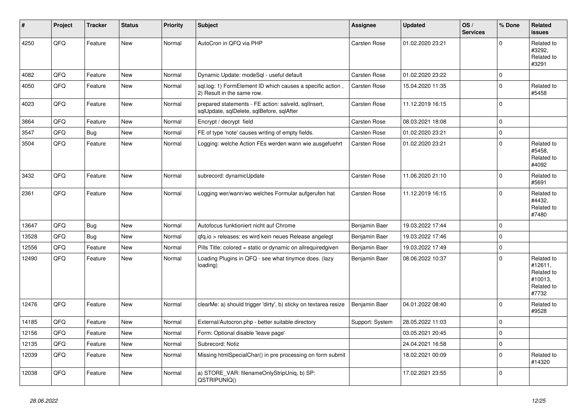| #     | Project | <b>Tracker</b> | <b>Status</b> | <b>Priority</b> | <b>Subject</b>                                                                                    | <b>Assignee</b>     | <b>Updated</b>   | OS/<br><b>Services</b> | % Done         | Related<br><b>issues</b>                                              |
|-------|---------|----------------|---------------|-----------------|---------------------------------------------------------------------------------------------------|---------------------|------------------|------------------------|----------------|-----------------------------------------------------------------------|
| 4250  | QFQ     | Feature        | New           | Normal          | AutoCron in QFQ via PHP                                                                           | Carsten Rose        | 01.02.2020 23:21 |                        | $\Omega$       | Related to<br>#3292,<br>Related to<br>#3291                           |
| 4082  | QFQ     | Feature        | <b>New</b>    | Normal          | Dynamic Update: modeSql - useful default                                                          | Carsten Rose        | 01.02.2020 23:22 |                        | $\pmb{0}$      |                                                                       |
| 4050  | QFQ     | Feature        | New           | Normal          | sql.log: 1) FormElement ID which causes a specific action,<br>2) Result in the same row.          | Carsten Rose        | 15.04.2020 11:35 |                        | 0              | Related to<br>#5458                                                   |
| 4023  | QFQ     | Feature        | New           | Normal          | prepared statements - FE action: salveld, sqllnsert,<br>sqlUpdate, sqlDelete, sqlBefore, sqlAfter | Carsten Rose        | 11.12.2019 16:15 |                        | 0              |                                                                       |
| 3864  | QFQ     | Feature        | New           | Normal          | Encrypt / decrypt field                                                                           | Carsten Rose        | 08.03.2021 18:08 |                        | 0              |                                                                       |
| 3547  | QFQ     | <b>Bug</b>     | New           | Normal          | FE of type 'note' causes writing of empty fields.                                                 | Carsten Rose        | 01.02.2020 23:21 |                        | $\overline{0}$ |                                                                       |
| 3504  | QFQ     | Feature        | <b>New</b>    | Normal          | Logging: welche Action FEs werden wann wie ausgefuehrt                                            | Carsten Rose        | 01.02.2020 23:21 |                        | $\Omega$       | Related to<br>#5458,<br>Related to<br>#4092                           |
| 3432  | QFQ     | Feature        | <b>New</b>    | Normal          | subrecord: dynamicUpdate                                                                          | Carsten Rose        | 11.06.2020 21:10 |                        | $\Omega$       | Related to<br>#5691                                                   |
| 2361  | QFQ     | Feature        | <b>New</b>    | Normal          | Logging wer/wann/wo welches Formular aufgerufen hat                                               | <b>Carsten Rose</b> | 11.12.2019 16:15 |                        | $\Omega$       | Related to<br>#4432,<br>Related to<br>#7480                           |
| 13647 | QFQ     | <b>Bug</b>     | New           | Normal          | Autofocus funktioniert nicht auf Chrome                                                           | Benjamin Baer       | 19.03.2022 17:44 |                        | $\Omega$       |                                                                       |
| 13528 | QFQ     | <b>Bug</b>     | <b>New</b>    | Normal          | gfg.io > releases: es wird kein neues Release angelegt                                            | Benjamin Baer       | 19.03.2022 17:46 |                        | 0              |                                                                       |
| 12556 | QFQ     | Feature        | <b>New</b>    | Normal          | Pills Title: colored = static or dynamic on allrequiredgiven                                      | Benjamin Baer       | 19.03.2022 17:49 |                        | 0              |                                                                       |
| 12490 | QFQ     | Feature        | <b>New</b>    | Normal          | Loading Plugins in QFQ - see what tinymce does. (lazy<br>loading)                                 | Benjamin Baer       | 08.06.2022 10:37 |                        | $\Omega$       | Related to<br>#12611,<br>Related to<br>#10013,<br>Related to<br>#7732 |
| 12476 | QFQ     | Feature        | New           | Normal          | clearMe: a) should trigger 'dirty', b) sticky on textarea resize                                  | Benjamin Baer       | 04.01.2022 08:40 |                        | $\Omega$       | Related to<br>#9528                                                   |
| 14185 | QFQ     | Feature        | New           | Normal          | External/Autocron.php - better suitable directory                                                 | Support: System     | 28.05.2022 11:03 |                        | 0              |                                                                       |
| 12156 | QFQ     | Feature        | New           | Normal          | Form: Optional disable 'leave page'                                                               |                     | 03.05.2021 20:45 |                        | 0              |                                                                       |
| 12135 | QFQ     | Feature        | New           | Normal          | Subrecord: Notiz                                                                                  |                     | 24.04.2021 16:58 |                        | 0              |                                                                       |
| 12039 | QFQ     | Feature        | New           | Normal          | Missing htmlSpecialChar() in pre processing on form submit                                        |                     | 18.02.2021 00:09 |                        | $\Omega$       | Related to<br>#14320                                                  |
| 12038 | QFQ     | Feature        | New           | Normal          | a) STORE VAR: filenameOnlyStripUniq, b) SP:<br>QSTRIPUNIQ()                                       |                     | 17.02.2021 23:55 |                        | $\Omega$       |                                                                       |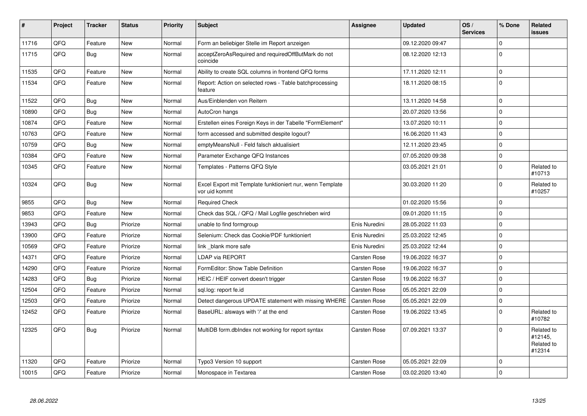| $\vert$ # | Project | <b>Tracker</b> | <b>Status</b> | <b>Priority</b> | <b>Subject</b>                                                             | <b>Assignee</b> | <b>Updated</b>   | OS/<br><b>Services</b> | % Done      | Related<br><b>issues</b>                      |
|-----------|---------|----------------|---------------|-----------------|----------------------------------------------------------------------------|-----------------|------------------|------------------------|-------------|-----------------------------------------------|
| 11716     | QFQ     | Feature        | <b>New</b>    | Normal          | Form an beliebiger Stelle im Report anzeigen                               |                 | 09.12.2020 09:47 |                        | $\mathbf 0$ |                                               |
| 11715     | QFQ     | <b>Bug</b>     | <b>New</b>    | Normal          | acceptZeroAsRequired and requiredOffButMark do not<br>coincide             |                 | 08.12.2020 12:13 |                        | $\Omega$    |                                               |
| 11535     | QFQ     | Feature        | <b>New</b>    | Normal          | Ability to create SQL columns in frontend QFQ forms                        |                 | 17.11.2020 12:11 |                        | $\mathbf 0$ |                                               |
| 11534     | QFQ     | Feature        | New           | Normal          | Report: Action on selected rows - Table batchprocessing<br>feature         |                 | 18.11.2020 08:15 |                        | $\mathbf 0$ |                                               |
| 11522     | QFQ     | <b>Bug</b>     | <b>New</b>    | Normal          | Aus/Einblenden von Reitern                                                 |                 | 13.11.2020 14:58 |                        | $\mathbf 0$ |                                               |
| 10890     | QFQ     | <b>Bug</b>     | New           | Normal          | AutoCron hangs                                                             |                 | 20.07.2020 13:56 |                        | $\pmb{0}$   |                                               |
| 10874     | QFQ     | Feature        | <b>New</b>    | Normal          | Erstellen eines Foreign Keys in der Tabelle "FormElement"                  |                 | 13.07.2020 10:11 |                        | $\mathbf 0$ |                                               |
| 10763     | QFQ     | Feature        | <b>New</b>    | Normal          | form accessed and submitted despite logout?                                |                 | 16.06.2020 11:43 |                        | $\mathbf 0$ |                                               |
| 10759     | QFQ     | <b>Bug</b>     | <b>New</b>    | Normal          | emptyMeansNull - Feld falsch aktualisiert                                  |                 | 12.11.2020 23:45 |                        | $\pmb{0}$   |                                               |
| 10384     | QFQ     | Feature        | <b>New</b>    | Normal          | Parameter Exchange QFQ Instances                                           |                 | 07.05.2020 09:38 |                        | $\mathbf 0$ |                                               |
| 10345     | QFQ     | Feature        | <b>New</b>    | Normal          | Templates - Patterns QFQ Style                                             |                 | 03.05.2021 21:01 |                        | $\mathbf 0$ | Related to<br>#10713                          |
| 10324     | QFQ     | Bug            | New           | Normal          | Excel Export mit Template funktioniert nur, wenn Template<br>vor uid kommt |                 | 30.03.2020 11:20 |                        | $\mathbf 0$ | Related to<br>#10257                          |
| 9855      | QFQ     | <b>Bug</b>     | <b>New</b>    | Normal          | <b>Required Check</b>                                                      |                 | 01.02.2020 15:56 |                        | $\mathbf 0$ |                                               |
| 9853      | QFQ     | Feature        | New           | Normal          | Check das SQL / QFQ / Mail Logfile geschrieben wird                        |                 | 09.01.2020 11:15 |                        | $\mathbf 0$ |                                               |
| 13943     | QFQ     | <b>Bug</b>     | Priorize      | Normal          | unable to find formgroup                                                   | Enis Nuredini   | 28.05.2022 11:03 |                        | $\mathbf 0$ |                                               |
| 13900     | QFQ     | Feature        | Priorize      | Normal          | Selenium: Check das Cookie/PDF funktioniert                                | Enis Nuredini   | 25.03.2022 12:45 |                        | $\pmb{0}$   |                                               |
| 10569     | QFQ     | Feature        | Priorize      | Normal          | link blank more safe                                                       | Enis Nuredini   | 25.03.2022 12:44 |                        | $\mathbf 0$ |                                               |
| 14371     | QFQ     | Feature        | Priorize      | Normal          | <b>LDAP via REPORT</b>                                                     | Carsten Rose    | 19.06.2022 16:37 |                        | $\mathbf 0$ |                                               |
| 14290     | QFQ     | Feature        | Priorize      | Normal          | FormEditor: Show Table Definition                                          | Carsten Rose    | 19.06.2022 16:37 |                        | $\mathbf 0$ |                                               |
| 14283     | QFQ     | <b>Bug</b>     | Priorize      | Normal          | HEIC / HEIF convert doesn't trigger                                        | Carsten Rose    | 19.06.2022 16:37 |                        | $\pmb{0}$   |                                               |
| 12504     | QFQ     | Feature        | Priorize      | Normal          | sgl.log: report fe.id                                                      | Carsten Rose    | 05.05.2021 22:09 |                        | $\mathbf 0$ |                                               |
| 12503     | QFQ     | Feature        | Priorize      | Normal          | Detect dangerous UPDATE statement with missing WHERE                       | Carsten Rose    | 05.05.2021 22:09 |                        | $\mathbf 0$ |                                               |
| 12452     | QFQ     | Feature        | Priorize      | Normal          | BaseURL: alsways with '/' at the end                                       | Carsten Rose    | 19.06.2022 13:45 |                        | $\mathbf 0$ | Related to<br>#10782                          |
| 12325     | QFQ     | <b>Bug</b>     | Priorize      | Normal          | MultiDB form.dbIndex not working for report syntax                         | Carsten Rose    | 07.09.2021 13:37 |                        | $\Omega$    | Related to<br>#12145,<br>Related to<br>#12314 |
| 11320     | QFQ     | Feature        | Priorize      | Normal          | Typo3 Version 10 support                                                   | Carsten Rose    | 05.05.2021 22:09 |                        | $\mathbf 0$ |                                               |
| 10015     | QFQ     | Feature        | Priorize      | Normal          | Monospace in Textarea                                                      | Carsten Rose    | 03.02.2020 13:40 |                        | $\mathbf 0$ |                                               |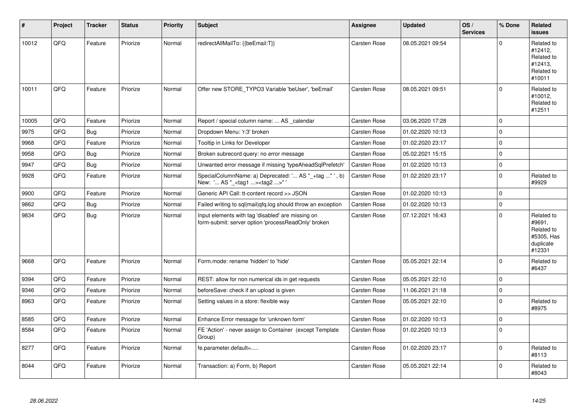| $\vert$ # | Project | <b>Tracker</b> | <b>Status</b> | <b>Priority</b> | <b>Subject</b>                                                                                           | Assignee            | <b>Updated</b>   | OS/<br><b>Services</b> | % Done      | Related<br><b>issues</b>                                                |
|-----------|---------|----------------|---------------|-----------------|----------------------------------------------------------------------------------------------------------|---------------------|------------------|------------------------|-------------|-------------------------------------------------------------------------|
| 10012     | QFQ     | Feature        | Priorize      | Normal          | redirectAllMailTo: {{beEmail:T}}                                                                         | Carsten Rose        | 08.05.2021 09:54 |                        | $\Omega$    | Related to<br>#12412,<br>Related to<br>#12413,<br>Related to<br>#10011  |
| 10011     | QFQ     | Feature        | Priorize      | Normal          | Offer new STORE TYPO3 Variable 'beUser', 'beEmail'                                                       | <b>Carsten Rose</b> | 08.05.2021 09:51 |                        | 0           | Related to<br>#10012,<br>Related to<br>#12511                           |
| 10005     | QFQ     | Feature        | Priorize      | Normal          | Report / special column name:  AS _calendar                                                              | Carsten Rose        | 03.06.2020 17:28 |                        | $\Omega$    |                                                                         |
| 9975      | QFQ     | <b>Bug</b>     | Priorize      | Normal          | Dropdown Menu: 'r:3' broken                                                                              | Carsten Rose        | 01.02.2020 10:13 |                        | 0           |                                                                         |
| 9968      | QFQ     | Feature        | Priorize      | Normal          | Tooltip in Links for Developer                                                                           | <b>Carsten Rose</b> | 01.02.2020 23:17 |                        | 0           |                                                                         |
| 9958      | QFQ     | <b>Bug</b>     | Priorize      | Normal          | Broken subrecord query: no error message                                                                 | Carsten Rose        | 05.02.2021 15:15 |                        | $\mathsf 0$ |                                                                         |
| 9947      | QFQ     | <b>Bug</b>     | Priorize      | Normal          | Unwanted error message if missing 'typeAheadSqlPrefetch'                                                 | Carsten Rose        | 01.02.2020 10:13 |                        | $\mathsf 0$ |                                                                         |
| 9928      | QFQ     | Feature        | Priorize      | Normal          | SpecialColumnName: a) Deprecated: ' AS "_+tag " ', b)<br>New: ' AS "_ <tag1><tag2>"</tag2></tag1>        | Carsten Rose        | 01.02.2020 23:17 |                        | 0           | Related to<br>#9929                                                     |
| 9900      | QFQ     | Feature        | Priorize      | Normal          | Generic API Call: tt-content record >> JSON                                                              | Carsten Rose        | 01.02.2020 10:13 |                        | 0           |                                                                         |
| 9862      | QFQ     | <b>Bug</b>     | Priorize      | Normal          | Failed writing to sql mail qfq.log should throw an exception                                             | Carsten Rose        | 01.02.2020 10:13 |                        | 0           |                                                                         |
| 9834      | QFQ     | <b>Bug</b>     | Priorize      | Normal          | Input elements with tag 'disabled' are missing on<br>form-submit: server option 'processReadOnly' broken | Carsten Rose        | 07.12.2021 16:43 |                        | $\Omega$    | Related to<br>#9691,<br>Related to<br>#5305, Has<br>duplicate<br>#12331 |
| 9668      | QFQ     | Feature        | Priorize      | Normal          | Form.mode: rename 'hidden' to 'hide'                                                                     | <b>Carsten Rose</b> | 05.05.2021 22:14 |                        | $\mathbf 0$ | Related to<br>#6437                                                     |
| 9394      | QFQ     | Feature        | Priorize      | Normal          | REST: allow for non numerical ids in get requests                                                        | Carsten Rose        | 05.05.2021 22:10 |                        | 0           |                                                                         |
| 9346      | QFQ     | Feature        | Priorize      | Normal          | beforeSave: check if an upload is given                                                                  | Carsten Rose        | 11.06.2021 21:18 |                        | 0           |                                                                         |
| 8963      | QFQ     | Feature        | Priorize      | Normal          | Setting values in a store: flexible way                                                                  | Carsten Rose        | 05.05.2021 22:10 |                        | 0           | Related to<br>#8975                                                     |
| 8585      | QFQ     | Feature        | Priorize      | Normal          | Enhance Error message for 'unknown form'                                                                 | Carsten Rose        | 01.02.2020 10:13 |                        | 0           |                                                                         |
| 8584      | QFQ     | Feature        | Priorize      | Normal          | FE 'Action' - never assign to Container (except Template<br>Group)                                       | Carsten Rose        | 01.02.2020 10:13 |                        | $\Omega$    |                                                                         |
| 8277      | QFQ     | Feature        | Priorize      | Normal          | fe.parameter.default=                                                                                    | Carsten Rose        | 01.02.2020 23:17 |                        | 0           | Related to<br>#8113                                                     |
| 8044      | QFQ     | Feature        | Priorize      | Normal          | Transaction: a) Form, b) Report                                                                          | Carsten Rose        | 05.05.2021 22:14 |                        | $\Omega$    | Related to<br>#8043                                                     |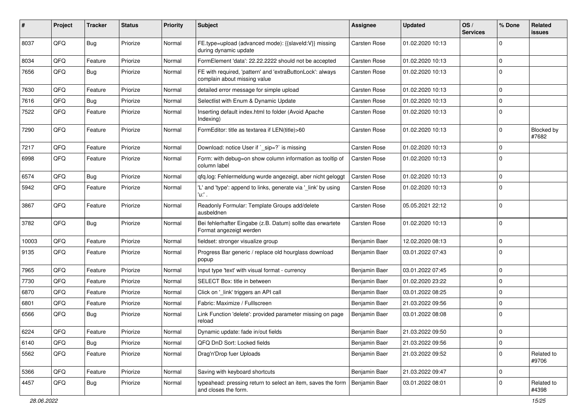| #     | Project | <b>Tracker</b> | <b>Status</b> | <b>Priority</b> | Subject                                                                                              | <b>Assignee</b> | <b>Updated</b>   | OS/<br><b>Services</b> | % Done      | Related<br>issues   |
|-------|---------|----------------|---------------|-----------------|------------------------------------------------------------------------------------------------------|-----------------|------------------|------------------------|-------------|---------------------|
| 8037  | QFQ     | <b>Bug</b>     | Priorize      | Normal          | FE.type=upload (advanced mode): {{slaveId:V}} missing<br>during dynamic update                       | Carsten Rose    | 01.02.2020 10:13 |                        | $\mathbf 0$ |                     |
| 8034  | QFQ     | Feature        | Priorize      | Normal          | FormElement 'data': 22.22.2222 should not be accepted                                                | Carsten Rose    | 01.02.2020 10:13 |                        | $\mathbf 0$ |                     |
| 7656  | QFQ     | <b>Bug</b>     | Priorize      | Normal          | FE with required, 'pattern' and 'extraButtonLock': always<br>complain about missing value            | Carsten Rose    | 01.02.2020 10:13 |                        | $\mathbf 0$ |                     |
| 7630  | QFQ     | Feature        | Priorize      | Normal          | detailed error message for simple upload                                                             | Carsten Rose    | 01.02.2020 10:13 |                        | $\mathbf 0$ |                     |
| 7616  | QFQ     | <b>Bug</b>     | Priorize      | Normal          | Selectlist with Enum & Dynamic Update                                                                | Carsten Rose    | 01.02.2020 10:13 |                        | $\mathbf 0$ |                     |
| 7522  | QFQ     | Feature        | Priorize      | Normal          | Inserting default index.html to folder (Avoid Apache<br>Indexing)                                    | Carsten Rose    | 01.02.2020 10:13 |                        | $\mathbf 0$ |                     |
| 7290  | QFQ     | Feature        | Priorize      | Normal          | FormEditor: title as textarea if LEN(title)>60                                                       | Carsten Rose    | 01.02.2020 10:13 |                        | $\mathbf 0$ | Blocked by<br>#7682 |
| 7217  | QFQ     | Feature        | Priorize      | Normal          | Download: notice User if `_sip=?` is missing                                                         | Carsten Rose    | 01.02.2020 10:13 |                        | $\mathbf 0$ |                     |
| 6998  | QFQ     | Feature        | Priorize      | Normal          | Form: with debug=on show column information as tooltip of<br>column label                            | Carsten Rose    | 01.02.2020 10:13 |                        | $\mathbf 0$ |                     |
| 6574  | QFQ     | <b>Bug</b>     | Priorize      | Normal          | qfq.log: Fehlermeldung wurde angezeigt, aber nicht geloggt                                           | Carsten Rose    | 01.02.2020 10:13 |                        | $\mathbf 0$ |                     |
| 5942  | QFQ     | Feature        | Priorize      | Normal          | 'L' and 'type': append to links, generate via '_link' by using<br>'u:' .                             | Carsten Rose    | 01.02.2020 10:13 |                        | $\Omega$    |                     |
| 3867  | QFQ     | Feature        | Priorize      | Normal          | Readonly Formular: Template Groups add/delete<br>ausbeldnen                                          | Carsten Rose    | 05.05.2021 22:12 |                        | 0           |                     |
| 3782  | QFQ     | Bug            | Priorize      | Normal          | Bei fehlerhafter Eingabe (z.B. Datum) sollte das erwartete<br>Format angezeigt werden                | Carsten Rose    | 01.02.2020 10:13 |                        | $\mathbf 0$ |                     |
| 10003 | QFQ     | Feature        | Priorize      | Normal          | fieldset: stronger visualize group                                                                   | Benjamin Baer   | 12.02.2020 08:13 |                        | $\mathbf 0$ |                     |
| 9135  | QFQ     | Feature        | Priorize      | Normal          | Progress Bar generic / replace old hourglass download<br>popup                                       | Benjamin Baer   | 03.01.2022 07:43 |                        | $\mathbf 0$ |                     |
| 7965  | QFQ     | Feature        | Priorize      | Normal          | Input type 'text' with visual format - currency                                                      | Benjamin Baer   | 03.01.2022 07:45 |                        | $\mathbf 0$ |                     |
| 7730  | QFQ     | Feature        | Priorize      | Normal          | SELECT Box: title in between                                                                         | Benjamin Baer   | 01.02.2020 23:22 |                        | $\mathbf 0$ |                     |
| 6870  | QFQ     | Feature        | Priorize      | Normal          | Click on '_link' triggers an API call                                                                | Benjamin Baer   | 03.01.2022 08:25 |                        | $\Omega$    |                     |
| 6801  | QFQ     | Feature        | Priorize      | Normal          | Fabric: Maximize / FullIscreen                                                                       | Benjamin Baer   | 21.03.2022 09:56 |                        | 0           |                     |
| 6566  | QFQ     | <b>Bug</b>     | Priorize      | Normal          | Link Function 'delete': provided parameter missing on page<br>reload                                 | Benjamin Baer   | 03.01.2022 08:08 |                        | $\mathbf 0$ |                     |
| 6224  | QFQ     | Feature        | Priorize      | Normal          | Dynamic update: fade in/out fields                                                                   | Benjamin Baer   | 21.03.2022 09:50 |                        | $\pmb{0}$   |                     |
| 6140  | QFG     | <b>Bug</b>     | Priorize      | Normal          | QFQ DnD Sort: Locked fields                                                                          | Benjamin Baer   | 21.03.2022 09:56 |                        | $\mathbf 0$ |                     |
| 5562  | QFQ     | Feature        | Priorize      | Normal          | Drag'n'Drop fuer Uploads                                                                             | Benjamin Baer   | 21.03.2022 09:52 |                        | $\mathbf 0$ | Related to<br>#9706 |
| 5366  | QFQ     | Feature        | Priorize      | Normal          | Saving with keyboard shortcuts                                                                       | Benjamin Baer   | 21.03.2022 09:47 |                        | $\mathbf 0$ |                     |
| 4457  | QFQ     | <b>Bug</b>     | Priorize      | Normal          | typeahead: pressing return to select an item, saves the form   Benjamin Baer<br>and closes the form. |                 | 03.01.2022 08:01 |                        | 0           | Related to<br>#4398 |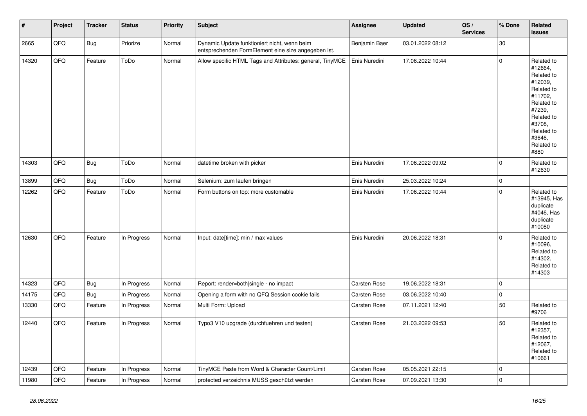| #     | Project | <b>Tracker</b> | <b>Status</b> | <b>Priority</b> | <b>Subject</b>                                                                                      | <b>Assignee</b>     | <b>Updated</b>   | OS/<br><b>Services</b> | % Done              | <b>Related</b><br>issues                                                                                                                                              |
|-------|---------|----------------|---------------|-----------------|-----------------------------------------------------------------------------------------------------|---------------------|------------------|------------------------|---------------------|-----------------------------------------------------------------------------------------------------------------------------------------------------------------------|
| 2665  | QFQ     | Bug            | Priorize      | Normal          | Dynamic Update funktioniert nicht, wenn beim<br>entsprechenden FormElement eine size angegeben ist. | Benjamin Baer       | 03.01.2022 08:12 |                        | 30                  |                                                                                                                                                                       |
| 14320 | QFQ     | Feature        | ToDo          | Normal          | Allow specific HTML Tags and Attributes: general, TinyMCE                                           | Enis Nuredini       | 17.06.2022 10:44 |                        | $\mathbf 0$         | Related to<br>#12664,<br>Related to<br>#12039,<br>Related to<br>#11702,<br>Related to<br>#7239,<br>Related to<br>#3708.<br>Related to<br>#3646,<br>Related to<br>#880 |
| 14303 | QFQ     | <b>Bug</b>     | ToDo          | Normal          | datetime broken with picker                                                                         | Enis Nuredini       | 17.06.2022 09:02 |                        | $\mathbf 0$         | Related to<br>#12630                                                                                                                                                  |
| 13899 | QFQ     | Bug            | ToDo          | Normal          | Selenium: zum laufen bringen                                                                        | Enis Nuredini       | 25.03.2022 10:24 |                        | $\pmb{0}$           |                                                                                                                                                                       |
| 12262 | QFQ     | Feature        | ToDo          | Normal          | Form buttons on top: more customable                                                                | Enis Nuredini       | 17.06.2022 10:44 |                        | $\mathbf 0$         | Related to<br>#13945, Has<br>duplicate<br>#4046, Has<br>duplicate<br>#10080                                                                                           |
| 12630 | QFQ     | Feature        | In Progress   | Normal          | Input: date[time]: min / max values                                                                 | Enis Nuredini       | 20.06.2022 18:31 |                        | $\mathbf 0$         | Related to<br>#10096,<br>Related to<br>#14302,<br>Related to<br>#14303                                                                                                |
| 14323 | QFQ     | <b>Bug</b>     | In Progress   | Normal          | Report: render=both single - no impact                                                              | Carsten Rose        | 19.06.2022 18:31 |                        | $\mathsf{O}\xspace$ |                                                                                                                                                                       |
| 14175 | QFQ     | <b>Bug</b>     | In Progress   | Normal          | Opening a form with no QFQ Session cookie fails                                                     | <b>Carsten Rose</b> | 03.06.2022 10:40 |                        | $\mathsf 0$         |                                                                                                                                                                       |
| 13330 | QFQ     | Feature        | In Progress   | Normal          | Multi Form: Upload                                                                                  | Carsten Rose        | 07.11.2021 12:40 |                        | 50                  | Related to<br>#9706                                                                                                                                                   |
| 12440 | QFQ     | Feature        | In Progress   | Normal          | Typo3 V10 upgrade (durchfuehren und testen)                                                         | <b>Carsten Rose</b> | 21.03.2022 09:53 |                        | 50                  | Related to<br>#12357,<br>Related to<br>#12067,<br>Related to<br>#10661                                                                                                |
| 12439 | QFQ     | Feature        | In Progress   | Normal          | TinyMCE Paste from Word & Character Count/Limit                                                     | <b>Carsten Rose</b> | 05.05.2021 22:15 |                        | 0                   |                                                                                                                                                                       |
| 11980 | QFQ     | Feature        | In Progress   | Normal          | protected verzeichnis MUSS geschützt werden                                                         | <b>Carsten Rose</b> | 07.09.2021 13:30 |                        | $\pmb{0}$           |                                                                                                                                                                       |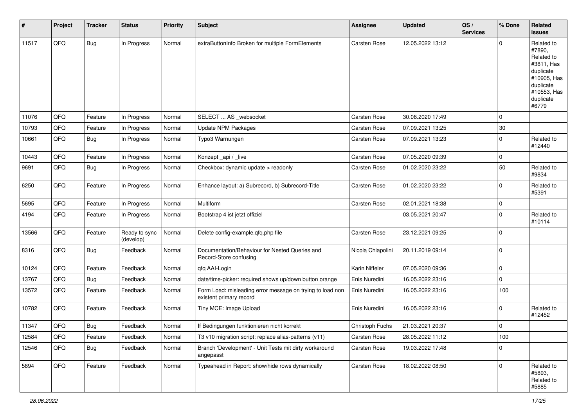| $\sharp$ | Project | <b>Tracker</b> | <b>Status</b>              | <b>Priority</b> | <b>Subject</b>                                                                       | <b>Assignee</b>     | <b>Updated</b>   | OS/<br><b>Services</b> | % Done      | Related<br><b>issues</b>                                                                                                       |
|----------|---------|----------------|----------------------------|-----------------|--------------------------------------------------------------------------------------|---------------------|------------------|------------------------|-------------|--------------------------------------------------------------------------------------------------------------------------------|
| 11517    | QFQ     | <b>Bug</b>     | In Progress                | Normal          | extraButtonInfo Broken for multiple FormElements                                     | <b>Carsten Rose</b> | 12.05.2022 13:12 |                        | $\Omega$    | Related to<br>#7890,<br>Related to<br>#3811, Has<br>duplicate<br>#10905, Has<br>duplicate<br>#10553, Has<br>duplicate<br>#6779 |
| 11076    | QFQ     | Feature        | In Progress                | Normal          | SELECT  AS _websocket                                                                | Carsten Rose        | 30.08.2020 17:49 |                        | 0           |                                                                                                                                |
| 10793    | QFQ     | Feature        | In Progress                | Normal          | <b>Update NPM Packages</b>                                                           | Carsten Rose        | 07.09.2021 13:25 |                        | $30\,$      |                                                                                                                                |
| 10661    | QFQ     | <b>Bug</b>     | In Progress                | Normal          | Typo3 Warnungen                                                                      | Carsten Rose        | 07.09.2021 13:23 |                        | 0           | Related to<br>#12440                                                                                                           |
| 10443    | QFQ     | Feature        | In Progress                | Normal          | Konzept_api / _live                                                                  | Carsten Rose        | 07.05.2020 09:39 |                        | 0           |                                                                                                                                |
| 9691     | QFQ     | <b>Bug</b>     | In Progress                | Normal          | Checkbox: dynamic update > readonly                                                  | Carsten Rose        | 01.02.2020 23:22 |                        | 50          | Related to<br>#9834                                                                                                            |
| 6250     | QFQ     | Feature        | In Progress                | Normal          | Enhance layout: a) Subrecord, b) Subrecord-Title                                     | Carsten Rose        | 01.02.2020 23:22 |                        | 0           | Related to<br>#5391                                                                                                            |
| 5695     | QFQ     | Feature        | In Progress                | Normal          | Multiform                                                                            | Carsten Rose        | 02.01.2021 18:38 |                        | 0           |                                                                                                                                |
| 4194     | QFQ     | Feature        | In Progress                | Normal          | Bootstrap 4 ist jetzt offiziel                                                       |                     | 03.05.2021 20:47 |                        | $\mathbf 0$ | Related to<br>#10114                                                                                                           |
| 13566    | QFQ     | Feature        | Ready to sync<br>(develop) | Normal          | Delete config-example.qfq.php file                                                   | Carsten Rose        | 23.12.2021 09:25 |                        | $\mathbf 0$ |                                                                                                                                |
| 8316     | QFQ     | <b>Bug</b>     | Feedback                   | Normal          | Documentation/Behaviour for Nested Queries and<br>Record-Store confusing             | Nicola Chiapolini   | 20.11.2019 09:14 |                        | 0           |                                                                                                                                |
| 10124    | QFQ     | Feature        | Feedback                   | Normal          | qfq AAI-Login                                                                        | Karin Niffeler      | 07.05.2020 09:36 |                        | 0           |                                                                                                                                |
| 13767    | QFQ     | <b>Bug</b>     | Feedback                   | Normal          | date/time-picker: required shows up/down button orange                               | Enis Nuredini       | 16.05.2022 23:16 |                        | 0           |                                                                                                                                |
| 13572    | QFQ     | Feature        | Feedback                   | Normal          | Form Load: misleading error message on trying to load non<br>existent primary record | Enis Nuredini       | 16.05.2022 23:16 |                        | 100         |                                                                                                                                |
| 10782    | QFQ     | Feature        | Feedback                   | Normal          | Tiny MCE: Image Upload                                                               | Enis Nuredini       | 16.05.2022 23:16 |                        | 0           | Related to<br>#12452                                                                                                           |
| 11347    | QFQ     | <b>Bug</b>     | Feedback                   | Normal          | If Bedingungen funktionieren nicht korrekt                                           | Christoph Fuchs     | 21.03.2021 20:37 |                        | 0           |                                                                                                                                |
| 12584    | QFQ     | Feature        | Feedback                   | Normal          | T3 v10 migration script: replace alias-patterns (v11)                                | Carsten Rose        | 28.05.2022 11:12 |                        | 100         |                                                                                                                                |
| 12546    | QFQ     | <b>Bug</b>     | Feedback                   | Normal          | Branch 'Development' - Unit Tests mit dirty workaround<br>angepasst                  | Carsten Rose        | 19.03.2022 17:48 |                        | 0           |                                                                                                                                |
| 5894     | QFQ     | Feature        | Feedback                   | Normal          | Typeahead in Report: show/hide rows dynamically                                      | Carsten Rose        | 18.02.2022 08:50 |                        | 0           | Related to<br>#5893,<br>Related to<br>#5885                                                                                    |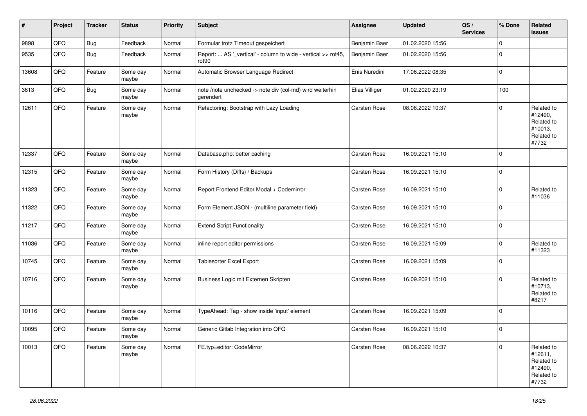| #     | Project | <b>Tracker</b> | <b>Status</b>     | <b>Priority</b> | <b>Subject</b>                                                                     | <b>Assignee</b> | <b>Updated</b>   | OS/<br><b>Services</b> | % Done      | <b>Related</b><br>issues                                              |
|-------|---------|----------------|-------------------|-----------------|------------------------------------------------------------------------------------|-----------------|------------------|------------------------|-------------|-----------------------------------------------------------------------|
| 9898  | QFQ     | Bug            | Feedback          | Normal          | Formular trotz Timeout gespeichert                                                 | Benjamin Baer   | 01.02.2020 15:56 |                        | $\mathbf 0$ |                                                                       |
| 9535  | QFQ     | Bug            | Feedback          | Normal          | Report:  AS '_vertical' - column to wide - vertical >> rot45,<br>rot <sub>90</sub> | Benjamin Baer   | 01.02.2020 15:56 |                        | $\mathbf 0$ |                                                                       |
| 13608 | QFQ     | Feature        | Some day<br>maybe | Normal          | Automatic Browser Language Redirect                                                | Enis Nuredini   | 17.06.2022 08:35 |                        | 0           |                                                                       |
| 3613  | QFQ     | <b>Bug</b>     | Some day<br>maybe | Normal          | note /note unchecked -> note div (col-md) wird weiterhin<br>gerendert              | Elias Villiger  | 01.02.2020 23:19 |                        | 100         |                                                                       |
| 12611 | QFQ     | Feature        | Some day<br>maybe | Normal          | Refactoring: Bootstrap with Lazy Loading                                           | Carsten Rose    | 08.06.2022 10:37 |                        | $\mathbf 0$ | Related to<br>#12490,<br>Related to<br>#10013,<br>Related to<br>#7732 |
| 12337 | QFQ     | Feature        | Some day<br>maybe | Normal          | Database.php: better caching                                                       | Carsten Rose    | 16.09.2021 15:10 |                        | $\mathbf 0$ |                                                                       |
| 12315 | QFQ     | Feature        | Some day<br>maybe | Normal          | Form History (Diffs) / Backups                                                     | Carsten Rose    | 16.09.2021 15:10 |                        | $\pmb{0}$   |                                                                       |
| 11323 | QFQ     | Feature        | Some day<br>maybe | Normal          | Report Frontend Editor Modal + Codemirror                                          | Carsten Rose    | 16.09.2021 15:10 |                        | $\mathbf 0$ | Related to<br>#11036                                                  |
| 11322 | QFQ     | Feature        | Some day<br>maybe | Normal          | Form Element JSON - (multiline parameter field)                                    | Carsten Rose    | 16.09.2021 15:10 |                        | $\mathbf 0$ |                                                                       |
| 11217 | QFQ     | Feature        | Some day<br>maybe | Normal          | <b>Extend Script Functionality</b>                                                 | Carsten Rose    | 16.09.2021 15:10 |                        | $\mathbf 0$ |                                                                       |
| 11036 | QFQ     | Feature        | Some day<br>maybe | Normal          | inline report editor permissions                                                   | Carsten Rose    | 16.09.2021 15:09 |                        | 0           | Related to<br>#11323                                                  |
| 10745 | QFQ     | Feature        | Some day<br>maybe | Normal          | Tablesorter Excel Export                                                           | Carsten Rose    | 16.09.2021 15:09 |                        | $\pmb{0}$   |                                                                       |
| 10716 | QFQ     | Feature        | Some day<br>maybe | Normal          | Business Logic mit Externen Skripten                                               | Carsten Rose    | 16.09.2021 15:10 |                        | $\mathbf 0$ | Related to<br>#10713,<br>Related to<br>#8217                          |
| 10116 | QFQ     | Feature        | Some day<br>maybe | Normal          | TypeAhead: Tag - show inside 'input' element                                       | Carsten Rose    | 16.09.2021 15:09 |                        | $\mathbf 0$ |                                                                       |
| 10095 | QFQ     | Feature        | Some day<br>maybe | Normal          | Generic Gitlab Integration into QFQ                                                | Carsten Rose    | 16.09.2021 15:10 |                        | $\mathbf 0$ |                                                                       |
| 10013 | QFQ     | Feature        | Some day<br>maybe | Normal          | FE.typ=editor: CodeMirror                                                          | Carsten Rose    | 08.06.2022 10:37 |                        | $\mathbf 0$ | Related to<br>#12611,<br>Related to<br>#12490,<br>Related to<br>#7732 |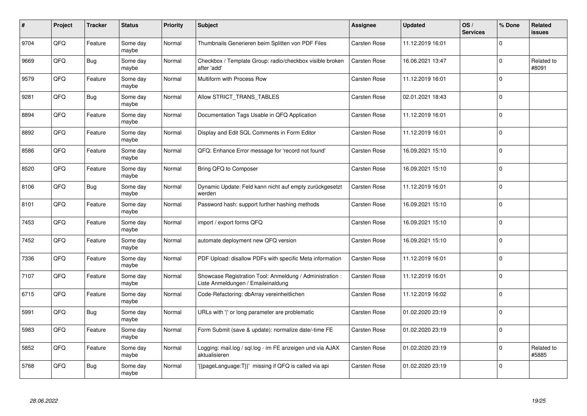| ∦    | Project | <b>Tracker</b> | <b>Status</b>     | <b>Priority</b> | <b>Subject</b>                                                                                 | Assignee            | <b>Updated</b>   | OS/<br><b>Services</b> | % Done      | Related<br><b>issues</b> |
|------|---------|----------------|-------------------|-----------------|------------------------------------------------------------------------------------------------|---------------------|------------------|------------------------|-------------|--------------------------|
| 9704 | QFQ     | Feature        | Some day<br>maybe | Normal          | Thumbnails Generieren beim Splitten von PDF Files                                              | Carsten Rose        | 11.12.2019 16:01 |                        | $\mathbf 0$ |                          |
| 9669 | QFQ     | Bug            | Some day<br>maybe | Normal          | Checkbox / Template Group: radio/checkbox visible broken<br>after 'add'                        | Carsten Rose        | 16.06.2021 13:47 |                        | $\mathbf 0$ | Related to<br>#8091      |
| 9579 | QFQ     | Feature        | Some day<br>maybe | Normal          | Multiform with Process Row                                                                     | Carsten Rose        | 11.12.2019 16:01 |                        | $\mathbf 0$ |                          |
| 9281 | QFQ     | <b>Bug</b>     | Some day<br>maybe | Normal          | Allow STRICT_TRANS_TABLES                                                                      | Carsten Rose        | 02.01.2021 18:43 |                        | $\Omega$    |                          |
| 8894 | QFQ     | Feature        | Some day<br>maybe | Normal          | Documentation Tags Usable in QFQ Application                                                   | Carsten Rose        | 11.12.2019 16:01 |                        | $\mathbf 0$ |                          |
| 8892 | QFQ     | Feature        | Some day<br>maybe | Normal          | Display and Edit SQL Comments in Form Editor                                                   | <b>Carsten Rose</b> | 11.12.2019 16:01 |                        | $\mathbf 0$ |                          |
| 8586 | QFQ     | Feature        | Some day<br>maybe | Normal          | QFQ: Enhance Error message for 'record not found'                                              | Carsten Rose        | 16.09.2021 15:10 |                        | $\pmb{0}$   |                          |
| 8520 | QFQ     | Feature        | Some day<br>maybe | Normal          | Bring QFQ to Composer                                                                          | Carsten Rose        | 16.09.2021 15:10 |                        | $\mathbf 0$ |                          |
| 8106 | QFQ     | Bug            | Some day<br>maybe | Normal          | Dynamic Update: Feld kann nicht auf empty zurückgesetzt<br>werden                              | Carsten Rose        | 11.12.2019 16:01 |                        | $\mathbf 0$ |                          |
| 8101 | QFQ     | Feature        | Some day<br>maybe | Normal          | Password hash: support further hashing methods                                                 | Carsten Rose        | 16.09.2021 15:10 |                        | $\pmb{0}$   |                          |
| 7453 | QFQ     | Feature        | Some day<br>maybe | Normal          | import / export forms QFQ                                                                      | Carsten Rose        | 16.09.2021 15:10 |                        | $\mathbf 0$ |                          |
| 7452 | QFQ     | Feature        | Some day<br>maybe | Normal          | automate deployment new QFQ version                                                            | Carsten Rose        | 16.09.2021 15:10 |                        | $\mathbf 0$ |                          |
| 7336 | QFQ     | Feature        | Some day<br>maybe | Normal          | PDF Upload: disallow PDFs with specific Meta information                                       | Carsten Rose        | 11.12.2019 16:01 |                        | $\mathbf 0$ |                          |
| 7107 | QFQ     | Feature        | Some day<br>maybe | Normal          | Showcase Registration Tool: Anmeldung / Administration :<br>Liste Anmeldungen / Emaileinaldung | Carsten Rose        | 11.12.2019 16:01 |                        | $\mathbf 0$ |                          |
| 6715 | QFQ     | Feature        | Some day<br>maybe | Normal          | Code-Refactoring: dbArray vereinheitlichen                                                     | Carsten Rose        | 11.12.2019 16:02 |                        | $\Omega$    |                          |
| 5991 | QFQ     | Bug            | Some day<br>maybe | Normal          | URLs with ' ' or long parameter are problematic                                                | Carsten Rose        | 01.02.2020 23:19 |                        | $\mathbf 0$ |                          |
| 5983 | QFQ     | Feature        | Some day<br>maybe | Normal          | Form Submit (save & update): normalize date/-time FE                                           | Carsten Rose        | 01.02.2020 23:19 |                        | $\mathbf 0$ |                          |
| 5852 | QFQ     | Feature        | Some day<br>maybe | Normal          | Logging: mail.log / sql.log - im FE anzeigen und via AJAX<br>aktualisieren                     | Carsten Rose        | 01.02.2020 23:19 |                        | $\pmb{0}$   | Related to<br>#5885      |
| 5768 | QFQ     | Bug            | Some day<br>maybe | Normal          | {{pageLanguage:T}}' missing if QFQ is called via api                                           | Carsten Rose        | 01.02.2020 23:19 |                        | $\mathbf 0$ |                          |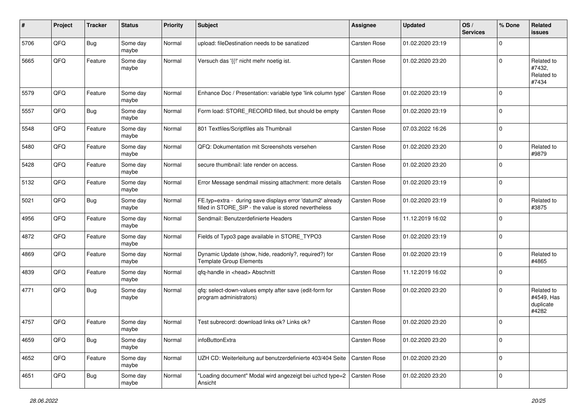| #    | Project | <b>Tracker</b> | <b>Status</b>     | <b>Priority</b> | Subject                                                                                                              | Assignee            | Updated          | OS/<br><b>Services</b> | % Done      | Related<br><b>issues</b>                       |
|------|---------|----------------|-------------------|-----------------|----------------------------------------------------------------------------------------------------------------------|---------------------|------------------|------------------------|-------------|------------------------------------------------|
| 5706 | QFQ     | Bug            | Some day<br>maybe | Normal          | upload: fileDestination needs to be sanatized                                                                        | <b>Carsten Rose</b> | 01.02.2020 23:19 |                        | $\Omega$    |                                                |
| 5665 | QFQ     | Feature        | Some day<br>maybe | Normal          | Versuch das '{{!' nicht mehr noetig ist.                                                                             | Carsten Rose        | 01.02.2020 23:20 |                        | $\Omega$    | Related to<br>#7432,<br>Related to<br>#7434    |
| 5579 | QFQ     | Feature        | Some day<br>maybe | Normal          | Enhance Doc / Presentation: variable type 'link column type'                                                         | Carsten Rose        | 01.02.2020 23:19 |                        | $\Omega$    |                                                |
| 5557 | QFQ     | <b>Bug</b>     | Some day<br>maybe | Normal          | Form load: STORE_RECORD filled, but should be empty                                                                  | Carsten Rose        | 01.02.2020 23:19 |                        | $\Omega$    |                                                |
| 5548 | QFQ     | Feature        | Some day<br>maybe | Normal          | 801 Textfiles/Scriptfiles als Thumbnail                                                                              | Carsten Rose        | 07.03.2022 16:26 |                        | $\Omega$    |                                                |
| 5480 | QFQ     | Feature        | Some day<br>maybe | Normal          | QFQ: Dokumentation mit Screenshots versehen                                                                          | Carsten Rose        | 01.02.2020 23:20 |                        | $\mathbf 0$ | Related to<br>#9879                            |
| 5428 | QFQ     | Feature        | Some day<br>maybe | Normal          | secure thumbnail: late render on access.                                                                             | Carsten Rose        | 01.02.2020 23:20 |                        | $\Omega$    |                                                |
| 5132 | QFQ     | Feature        | Some day<br>maybe | Normal          | Error Message sendmail missing attachment: more details                                                              | Carsten Rose        | 01.02.2020 23:19 |                        | $\mathbf 0$ |                                                |
| 5021 | QFQ     | <b>Bug</b>     | Some day<br>maybe | Normal          | FE.typ=extra - during save displays error 'datum2' already<br>filled in STORE_SIP - the value is stored nevertheless | Carsten Rose        | 01.02.2020 23:19 |                        | $\Omega$    | Related to<br>#3875                            |
| 4956 | QFQ     | Feature        | Some day<br>maybe | Normal          | Sendmail: Benutzerdefinierte Headers                                                                                 | Carsten Rose        | 11.12.2019 16:02 |                        | $\Omega$    |                                                |
| 4872 | QFQ     | Feature        | Some day<br>maybe | Normal          | Fields of Typo3 page available in STORE_TYPO3                                                                        | Carsten Rose        | 01.02.2020 23:19 |                        | $\Omega$    |                                                |
| 4869 | QFQ     | Feature        | Some day<br>maybe | Normal          | Dynamic Update (show, hide, readonly?, required?) for<br><b>Template Group Elements</b>                              | Carsten Rose        | 01.02.2020 23:19 |                        | $\mathbf 0$ | Related to<br>#4865                            |
| 4839 | QFQ     | Feature        | Some day<br>maybe | Normal          | qfq-handle in <head> Abschnitt</head>                                                                                | Carsten Rose        | 11.12.2019 16:02 |                        | $\Omega$    |                                                |
| 4771 | QFQ     | Bug            | Some day<br>maybe | Normal          | qfq: select-down-values empty after save (edit-form for<br>program administrators)                                   | Carsten Rose        | 01.02.2020 23:20 |                        | $\Omega$    | Related to<br>#4549, Has<br>duplicate<br>#4282 |
| 4757 | QFQ     | Feature        | Some day<br>maybe | Normal          | Test subrecord: download links ok? Links ok?                                                                         | Carsten Rose        | 01.02.2020 23:20 |                        | $\Omega$    |                                                |
| 4659 | QFQ     | Bug            | Some day<br>maybe | Normal          | infoButtonExtra                                                                                                      | Carsten Rose        | 01.02.2020 23:20 |                        | 0           |                                                |
| 4652 | QFQ     | Feature        | Some day<br>maybe | Normal          | UZH CD: Weiterleitung auf benutzerdefinierte 403/404 Seite                                                           | Carsten Rose        | 01.02.2020 23:20 |                        | $\pmb{0}$   |                                                |
| 4651 | QFQ     | <b>Bug</b>     | Some day<br>maybe | Normal          | "Loading document" Modal wird angezeigt bei uzhcd type=2<br>Ansicht                                                  | Carsten Rose        | 01.02.2020 23:20 |                        | $\pmb{0}$   |                                                |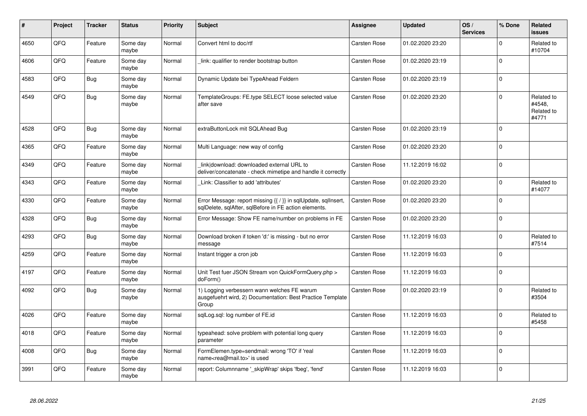| #    | Project | <b>Tracker</b> | <b>Status</b>     | <b>Priority</b> | <b>Subject</b>                                                                                                          | <b>Assignee</b>     | <b>Updated</b>   | OS/<br><b>Services</b> | % Done      | Related<br><b>issues</b>                    |
|------|---------|----------------|-------------------|-----------------|-------------------------------------------------------------------------------------------------------------------------|---------------------|------------------|------------------------|-------------|---------------------------------------------|
| 4650 | QFQ     | Feature        | Some day<br>maybe | Normal          | Convert html to doc/rtf                                                                                                 | Carsten Rose        | 01.02.2020 23:20 |                        | $\Omega$    | Related to<br>#10704                        |
| 4606 | QFQ     | Feature        | Some day<br>maybe | Normal          | link: qualifier to render bootstrap button                                                                              | Carsten Rose        | 01.02.2020 23:19 |                        | $\mathbf 0$ |                                             |
| 4583 | QFQ     | <b>Bug</b>     | Some day<br>maybe | Normal          | Dynamic Update bei TypeAhead Feldern                                                                                    | Carsten Rose        | 01.02.2020 23:19 |                        | $\Omega$    |                                             |
| 4549 | QFQ     | Bug            | Some day<br>maybe | Normal          | TemplateGroups: FE.type SELECT loose selected value<br>after save                                                       | <b>Carsten Rose</b> | 01.02.2020 23:20 |                        | $\Omega$    | Related to<br>#4548,<br>Related to<br>#4771 |
| 4528 | QFQ     | <b>Bug</b>     | Some day<br>maybe | Normal          | extraButtonLock mit SQLAhead Bug                                                                                        | <b>Carsten Rose</b> | 01.02.2020 23:19 |                        | $\Omega$    |                                             |
| 4365 | QFQ     | Feature        | Some day<br>maybe | Normal          | Multi Language: new way of config                                                                                       | Carsten Rose        | 01.02.2020 23:20 |                        | $\Omega$    |                                             |
| 4349 | QFQ     | Feature        | Some day<br>maybe | Normal          | link download: downloaded external URL to<br>deliver/concatenate - check mimetipe and handle it correctly               | Carsten Rose        | 11.12.2019 16:02 |                        | $\Omega$    |                                             |
| 4343 | QFQ     | Feature        | Some day<br>maybe | Normal          | Link: Classifier to add 'attributes'                                                                                    | Carsten Rose        | 01.02.2020 23:20 |                        | $\Omega$    | Related to<br>#14077                        |
| 4330 | QFQ     | Feature        | Some day<br>maybe | Normal          | Error Message: report missing {{ / }} in sqlUpdate, sqlInsert,<br>sglDelete, sglAfter, sglBefore in FE action elements. | Carsten Rose        | 01.02.2020 23:20 |                        | $\Omega$    |                                             |
| 4328 | QFQ     | <b>Bug</b>     | Some day<br>maybe | Normal          | Error Message: Show FE name/number on problems in FE                                                                    | Carsten Rose        | 01.02.2020 23:20 |                        | $\Omega$    |                                             |
| 4293 | QFQ     | Bug            | Some day<br>maybe | Normal          | Download broken if token 'd:' is missing - but no error<br>message                                                      | <b>Carsten Rose</b> | 11.12.2019 16:03 |                        | $\Omega$    | Related to<br>#7514                         |
| 4259 | QFQ     | Feature        | Some day<br>maybe | Normal          | Instant trigger a cron job                                                                                              | Carsten Rose        | 11.12.2019 16:03 |                        | $\mathbf 0$ |                                             |
| 4197 | QFQ     | Feature        | Some day<br>maybe | Normal          | Unit Test fuer JSON Stream von QuickFormQuery.php ><br>doForm()                                                         | Carsten Rose        | 11.12.2019 16:03 |                        | $\Omega$    |                                             |
| 4092 | QFQ     | Bug            | Some day<br>maybe | Normal          | 1) Logging verbessern wann welches FE warum<br>ausgefuehrt wird, 2) Documentation: Best Practice Template<br>Group      | Carsten Rose        | 01.02.2020 23:19 |                        | $\Omega$    | Related to<br>#3504                         |
| 4026 | QFQ     | Feature        | Some day<br>maybe | Normal          | sglLog.sgl: log number of FE.id                                                                                         | Carsten Rose        | 11.12.2019 16:03 |                        | $\Omega$    | Related to<br>#5458                         |
| 4018 | QFQ     | Feature        | Some day<br>maybe | Normal          | typeahead: solve problem with potential long query<br>parameter                                                         | <b>Carsten Rose</b> | 11.12.2019 16:03 |                        | $\Omega$    |                                             |
| 4008 | QFQ     | Bug            | Some day<br>maybe | Normal          | FormElemen.type=sendmail: wrong 'TO' if 'real<br>name <rea@mail.to>' is used</rea@mail.to>                              | Carsten Rose        | 11.12.2019 16:03 |                        | $\mathbf 0$ |                                             |
| 3991 | QFQ     | Feature        | Some day<br>maybe | Normal          | report: Columnname '_skipWrap' skips 'fbeg', 'fend'                                                                     | <b>Carsten Rose</b> | 11.12.2019 16:03 |                        | $\Omega$    |                                             |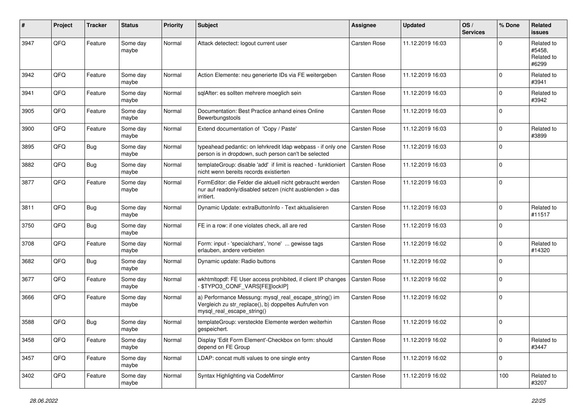| #    | Project | <b>Tracker</b> | <b>Status</b>     | <b>Priority</b> | <b>Subject</b>                                                                                                                               | <b>Assignee</b>     | <b>Updated</b>   | OS/<br><b>Services</b> | % Done      | Related<br>issues                           |
|------|---------|----------------|-------------------|-----------------|----------------------------------------------------------------------------------------------------------------------------------------------|---------------------|------------------|------------------------|-------------|---------------------------------------------|
| 3947 | QFQ     | Feature        | Some day<br>maybe | Normal          | Attack detectect: logout current user                                                                                                        | <b>Carsten Rose</b> | 11.12.2019 16:03 |                        | $\Omega$    | Related to<br>#5458.<br>Related to<br>#6299 |
| 3942 | QFQ     | Feature        | Some day<br>maybe | Normal          | Action Elemente: neu generierte IDs via FE weitergeben                                                                                       | <b>Carsten Rose</b> | 11.12.2019 16:03 |                        | $\mathbf 0$ | Related to<br>#3941                         |
| 3941 | QFQ     | Feature        | Some day<br>maybe | Normal          | sqlAfter: es sollten mehrere moeglich sein                                                                                                   | Carsten Rose        | 11.12.2019 16:03 |                        | $\mathbf 0$ | Related to<br>#3942                         |
| 3905 | QFQ     | Feature        | Some day<br>maybe | Normal          | Documentation: Best Practice anhand eines Online<br>Bewerbungstools                                                                          | Carsten Rose        | 11.12.2019 16:03 |                        | $\mathbf 0$ |                                             |
| 3900 | QFQ     | Feature        | Some day<br>maybe | Normal          | Extend documentation of 'Copy / Paste'                                                                                                       | Carsten Rose        | 11.12.2019 16:03 |                        | $\mathbf 0$ | Related to<br>#3899                         |
| 3895 | QFQ     | <b>Bug</b>     | Some day<br>maybe | Normal          | typeahead pedantic: on lehrkredit Idap webpass - if only one<br>person is in dropdown, such person can't be selected                         | Carsten Rose        | 11.12.2019 16:03 |                        | $\mathbf 0$ |                                             |
| 3882 | QFQ     | <b>Bug</b>     | Some day<br>maybe | Normal          | templateGroup: disable 'add' if limit is reached - funktioniert<br>nicht wenn bereits records existierten                                    | Carsten Rose        | 11.12.2019 16:03 |                        | $\mathbf 0$ |                                             |
| 3877 | QFQ     | Feature        | Some day<br>maybe | Normal          | FormEditor: die Felder die aktuell nicht gebraucht werden<br>nur auf readonly/disabled setzen (nicht ausblenden > das<br>irritiert.          | Carsten Rose        | 11.12.2019 16:03 |                        | $\mathbf 0$ |                                             |
| 3811 | QFQ     | <b>Bug</b>     | Some day<br>maybe | Normal          | Dynamic Update: extraButtonInfo - Text aktualisieren                                                                                         | <b>Carsten Rose</b> | 11.12.2019 16:03 |                        | $\Omega$    | Related to<br>#11517                        |
| 3750 | QFQ     | <b>Bug</b>     | Some day<br>maybe | Normal          | FE in a row: if one violates check, all are red                                                                                              | Carsten Rose        | 11.12.2019 16:03 |                        | $\Omega$    |                                             |
| 3708 | QFQ     | Feature        | Some day<br>maybe | Normal          | Form: input - 'specialchars', 'none'  gewisse tags<br>erlauben, andere verbieten                                                             | Carsten Rose        | 11.12.2019 16:02 |                        | $\mathbf 0$ | Related to<br>#14320                        |
| 3682 | QFQ     | <b>Bug</b>     | Some day<br>maybe | Normal          | Dynamic update: Radio buttons                                                                                                                | Carsten Rose        | 11.12.2019 16:02 |                        | $\mathbf 0$ |                                             |
| 3677 | QFQ     | Feature        | Some day<br>maybe | Normal          | wkhtmltopdf: FE User access prohibited, if client IP changes<br>\$TYPO3_CONF_VARS[FE][lockIP]                                                | Carsten Rose        | 11.12.2019 16:02 |                        | $\mathbf 0$ |                                             |
| 3666 | QFQ     | Feature        | Some day<br>maybe | Normal          | a) Performance Messung: mysql_real_escape_string() im<br>Vergleich zu str_replace(), b) doppeltes Aufrufen von<br>mysql_real_escape_string() | Carsten Rose        | 11.12.2019 16:02 |                        | $\Omega$    |                                             |
| 3588 | QFQ     | <b>Bug</b>     | Some day<br>maybe | Normal          | templateGroup: versteckte Elemente werden weiterhin<br>gespeichert.                                                                          | Carsten Rose        | 11.12.2019 16:02 |                        | $\mathbf 0$ |                                             |
| 3458 | QFQ     | Feature        | Some day<br>maybe | Normal          | Display 'Edit Form Element'-Checkbox on form: should<br>depend on FE Group                                                                   | Carsten Rose        | 11.12.2019 16:02 |                        | $\mathbf 0$ | Related to<br>#3447                         |
| 3457 | QFQ     | Feature        | Some day<br>maybe | Normal          | LDAP: concat multi values to one single entry                                                                                                | Carsten Rose        | 11.12.2019 16:02 |                        | 0           |                                             |
| 3402 | QFQ     | Feature        | Some day<br>maybe | Normal          | Syntax Highlighting via CodeMirror                                                                                                           | Carsten Rose        | 11.12.2019 16:02 |                        | 100         | Related to<br>#3207                         |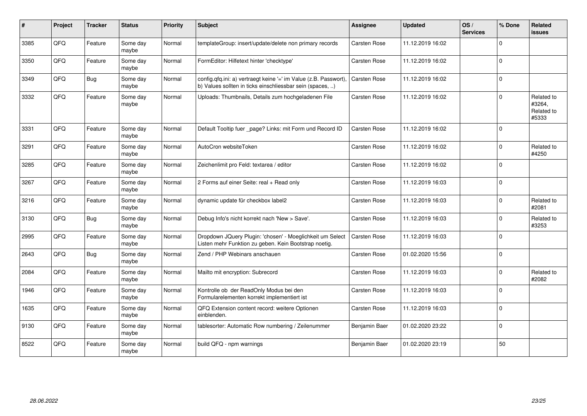| #    | Project | <b>Tracker</b> | <b>Status</b>     | <b>Priority</b> | <b>Subject</b>                                                                                                                | <b>Assignee</b>     | <b>Updated</b>   | OS/<br><b>Services</b> | % Done   | Related<br>issues                           |
|------|---------|----------------|-------------------|-----------------|-------------------------------------------------------------------------------------------------------------------------------|---------------------|------------------|------------------------|----------|---------------------------------------------|
| 3385 | QFQ     | Feature        | Some day<br>maybe | Normal          | templateGroup: insert/update/delete non primary records                                                                       | Carsten Rose        | 11.12.2019 16:02 |                        | $\Omega$ |                                             |
| 3350 | QFQ     | Feature        | Some day<br>maybe | Normal          | FormEditor: Hilfetext hinter 'checktype'                                                                                      | Carsten Rose        | 11.12.2019 16:02 |                        | $\Omega$ |                                             |
| 3349 | QFQ     | <b>Bug</b>     | Some day<br>maybe | Normal          | config.qfq.ini: a) vertraegt keine '=' im Value (z.B. Passwort),<br>b) Values sollten in ticks einschliessbar sein (spaces, ) | <b>Carsten Rose</b> | 11.12.2019 16:02 |                        | $\Omega$ |                                             |
| 3332 | QFQ     | Feature        | Some day<br>maybe | Normal          | Uploads: Thumbnails, Details zum hochgeladenen File                                                                           | Carsten Rose        | 11.12.2019 16:02 |                        | $\Omega$ | Related to<br>#3264,<br>Related to<br>#5333 |
| 3331 | QFQ     | Feature        | Some day<br>maybe | Normal          | Default Tooltip fuer page? Links: mit Form und Record ID                                                                      | Carsten Rose        | 11.12.2019 16:02 |                        | $\Omega$ |                                             |
| 3291 | QFQ     | Feature        | Some day<br>maybe | Normal          | AutoCron websiteToken                                                                                                         | Carsten Rose        | 11.12.2019 16:02 |                        | $\Omega$ | Related to<br>#4250                         |
| 3285 | QFQ     | Feature        | Some day<br>maybe | Normal          | Zeichenlimit pro Feld: textarea / editor                                                                                      | Carsten Rose        | 11.12.2019 16:02 |                        | $\Omega$ |                                             |
| 3267 | QFQ     | Feature        | Some day<br>maybe | Normal          | 2 Forms auf einer Seite: real + Read only                                                                                     | Carsten Rose        | 11.12.2019 16:03 |                        | $\Omega$ |                                             |
| 3216 | QFQ     | Feature        | Some day<br>maybe | Normal          | dynamic update für checkbox label2                                                                                            | Carsten Rose        | 11.12.2019 16:03 |                        | $\Omega$ | Related to<br>#2081                         |
| 3130 | QFQ     | Bug            | Some day<br>maybe | Normal          | Debug Info's nicht korrekt nach 'New > Save'.                                                                                 | <b>Carsten Rose</b> | 11.12.2019 16:03 |                        | $\Omega$ | Related to<br>#3253                         |
| 2995 | QFQ     | Feature        | Some day<br>maybe | Normal          | Dropdown JQuery Plugin: 'chosen' - Moeglichkeit um Select<br>Listen mehr Funktion zu geben. Kein Bootstrap noetig.            | Carsten Rose        | 11.12.2019 16:03 |                        | $\Omega$ |                                             |
| 2643 | QFQ     | <b>Bug</b>     | Some day<br>maybe | Normal          | Zend / PHP Webinars anschauen                                                                                                 | Carsten Rose        | 01.02.2020 15:56 |                        | $\Omega$ |                                             |
| 2084 | QFQ     | Feature        | Some day<br>maybe | Normal          | Mailto mit encryption: Subrecord                                                                                              | Carsten Rose        | 11.12.2019 16:03 |                        | $\Omega$ | Related to<br>#2082                         |
| 1946 | QFQ     | Feature        | Some day<br>maybe | Normal          | Kontrolle ob der ReadOnly Modus bei den<br>Formularelementen korrekt implementiert ist                                        | Carsten Rose        | 11.12.2019 16:03 |                        | $\Omega$ |                                             |
| 1635 | QFQ     | Feature        | Some day<br>maybe | Normal          | QFQ Extension content record: weitere Optionen<br>einblenden.                                                                 | Carsten Rose        | 11.12.2019 16:03 |                        | $\Omega$ |                                             |
| 9130 | QFQ     | Feature        | Some day<br>maybe | Normal          | tablesorter: Automatic Row numbering / Zeilenummer                                                                            | Benjamin Baer       | 01.02.2020 23:22 |                        | $\Omega$ |                                             |
| 8522 | QFQ     | Feature        | Some day<br>maybe | Normal          | build QFQ - npm warnings                                                                                                      | Benjamin Baer       | 01.02.2020 23:19 |                        | 50       |                                             |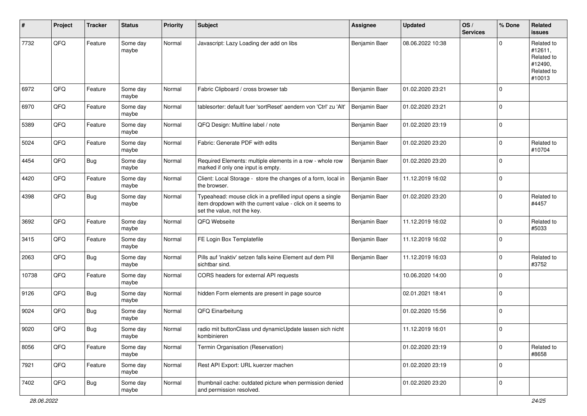| #     | Project | <b>Tracker</b> | <b>Status</b>     | <b>Priority</b> | <b>Subject</b>                                                                                                                                           | <b>Assignee</b> | <b>Updated</b>   | OS/<br><b>Services</b> | % Done      | Related<br><b>issues</b>                                               |
|-------|---------|----------------|-------------------|-----------------|----------------------------------------------------------------------------------------------------------------------------------------------------------|-----------------|------------------|------------------------|-------------|------------------------------------------------------------------------|
| 7732  | QFQ     | Feature        | Some day<br>maybe | Normal          | Javascript: Lazy Loading der add on libs                                                                                                                 | Benjamin Baer   | 08.06.2022 10:38 |                        | 0           | Related to<br>#12611,<br>Related to<br>#12490,<br>Related to<br>#10013 |
| 6972  | QFQ     | Feature        | Some day<br>maybe | Normal          | Fabric Clipboard / cross browser tab                                                                                                                     | Benjamin Baer   | 01.02.2020 23:21 |                        | $\mathbf 0$ |                                                                        |
| 6970  | QFQ     | Feature        | Some day<br>maybe | Normal          | tablesorter: default fuer 'sortReset' aendern von 'Ctrl' zu 'Alt'                                                                                        | Benjamin Baer   | 01.02.2020 23:21 |                        | $\pmb{0}$   |                                                                        |
| 5389  | QFQ     | Feature        | Some day<br>maybe | Normal          | QFQ Design: Multline label / note                                                                                                                        | Benjamin Baer   | 01.02.2020 23:19 |                        | $\mathbf 0$ |                                                                        |
| 5024  | QFQ     | Feature        | Some day<br>maybe | Normal          | Fabric: Generate PDF with edits                                                                                                                          | Benjamin Baer   | 01.02.2020 23:20 |                        | 0           | Related to<br>#10704                                                   |
| 4454  | QFQ     | Bug            | Some day<br>maybe | Normal          | Required Elements: multiple elements in a row - whole row<br>marked if only one input is empty.                                                          | Benjamin Baer   | 01.02.2020 23:20 |                        | $\mathbf 0$ |                                                                        |
| 4420  | QFQ     | Feature        | Some day<br>maybe | Normal          | Client: Local Storage - store the changes of a form, local in<br>the browser.                                                                            | Benjamin Baer   | 11.12.2019 16:02 |                        | 0           |                                                                        |
| 4398  | QFQ     | <b>Bug</b>     | Some day<br>maybe | Normal          | Typeahead: mouse click in a prefilled input opens a single<br>item dropdown with the current value - click on it seems to<br>set the value, not the key. | Benjamin Baer   | 01.02.2020 23:20 |                        | 0           | Related to<br>#4457                                                    |
| 3692  | QFQ     | Feature        | Some day<br>maybe | Normal          | QFQ Webseite                                                                                                                                             | Benjamin Baer   | 11.12.2019 16:02 |                        | 0           | Related to<br>#5033                                                    |
| 3415  | QFQ     | Feature        | Some day<br>maybe | Normal          | FE Login Box Templatefile                                                                                                                                | Benjamin Baer   | 11.12.2019 16:02 |                        | 0           |                                                                        |
| 2063  | QFQ     | <b>Bug</b>     | Some day<br>maybe | Normal          | Pills auf 'inaktiv' setzen falls keine Element auf dem Pill<br>sichtbar sind.                                                                            | Benjamin Baer   | 11.12.2019 16:03 |                        | $\Omega$    | Related to<br>#3752                                                    |
| 10738 | QFQ     | Feature        | Some day<br>maybe | Normal          | CORS headers for external API requests                                                                                                                   |                 | 10.06.2020 14:00 |                        | 0           |                                                                        |
| 9126  | QFQ     | Bug            | Some day<br>maybe | Normal          | hidden Form elements are present in page source                                                                                                          |                 | 02.01.2021 18:41 |                        | $\pmb{0}$   |                                                                        |
| 9024  | QFQ     | Bug            | Some day<br>maybe | Normal          | QFQ Einarbeitung                                                                                                                                         |                 | 01.02.2020 15:56 |                        | $\mathbf 0$ |                                                                        |
| 9020  | QFQ     | <b>Bug</b>     | Some day<br>maybe | Normal          | radio mit buttonClass und dynamicUpdate lassen sich nicht<br>kombinieren                                                                                 |                 | 11.12.2019 16:01 |                        | 0           |                                                                        |
| 8056  | QFQ     | Feature        | Some day<br>maybe | Normal          | Termin Organisation (Reservation)                                                                                                                        |                 | 01.02.2020 23:19 |                        | 0           | Related to<br>#8658                                                    |
| 7921  | QFQ     | Feature        | Some day<br>maybe | Normal          | Rest API Export: URL kuerzer machen                                                                                                                      |                 | 01.02.2020 23:19 |                        | $\pmb{0}$   |                                                                        |
| 7402  | QFQ     | <b>Bug</b>     | Some day<br>maybe | Normal          | thumbnail cache: outdated picture when permission denied<br>and permission resolved.                                                                     |                 | 01.02.2020 23:20 |                        | $\pmb{0}$   |                                                                        |